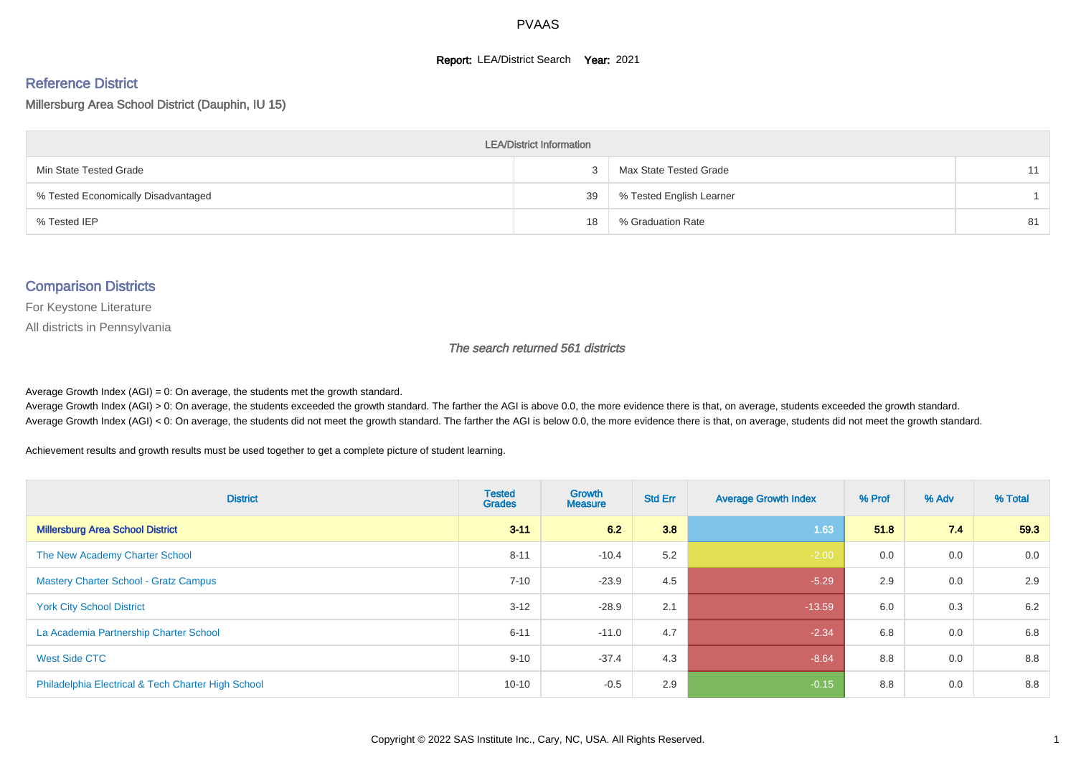#### **Report: LEA/District Search Year: 2021**

# Reference District

#### Millersburg Area School District (Dauphin, IU 15)

| <b>LEA/District Information</b>     |    |                          |    |  |  |  |  |  |  |  |
|-------------------------------------|----|--------------------------|----|--|--|--|--|--|--|--|
| Min State Tested Grade              |    | Max State Tested Grade   | 11 |  |  |  |  |  |  |  |
| % Tested Economically Disadvantaged | 39 | % Tested English Learner |    |  |  |  |  |  |  |  |
| % Tested IEP                        | 18 | % Graduation Rate        | 81 |  |  |  |  |  |  |  |

#### Comparison Districts

For Keystone Literature

All districts in Pennsylvania

The search returned 561 districts

Average Growth Index  $(AGI) = 0$ : On average, the students met the growth standard.

Average Growth Index (AGI) > 0: On average, the students exceeded the growth standard. The farther the AGI is above 0.0, the more evidence there is that, on average, students exceeded the growth standard. Average Growth Index (AGI) < 0: On average, the students did not meet the growth standard. The farther the AGI is below 0.0, the more evidence there is that, on average, students did not meet the growth standard.

Achievement results and growth results must be used together to get a complete picture of student learning.

| <b>District</b>                                    | <b>Tested</b><br><b>Grades</b> | Growth<br><b>Measure</b> | <b>Std Err</b> | <b>Average Growth Index</b> | % Prof | % Adv | % Total |
|----------------------------------------------------|--------------------------------|--------------------------|----------------|-----------------------------|--------|-------|---------|
| <b>Millersburg Area School District</b>            | $3 - 11$                       | 6.2                      | 3.8            | 1.63                        | 51.8   | 7.4   | 59.3    |
| The New Academy Charter School                     | $8 - 11$                       | $-10.4$                  | 5.2            | $-2.00$                     | 0.0    | 0.0   | 0.0     |
| <b>Mastery Charter School - Gratz Campus</b>       | $7 - 10$                       | $-23.9$                  | 4.5            | $-5.29$                     | 2.9    | 0.0   | 2.9     |
| <b>York City School District</b>                   | $3 - 12$                       | $-28.9$                  | 2.1            | $-13.59$                    | 6.0    | 0.3   | 6.2     |
| La Academia Partnership Charter School             | $6 - 11$                       | $-11.0$                  | 4.7            | $-2.34$                     | 6.8    | 0.0   | 6.8     |
| West Side CTC                                      | $9 - 10$                       | $-37.4$                  | 4.3            | $-8.64$                     | 8.8    | 0.0   | 8.8     |
| Philadelphia Electrical & Tech Charter High School | $10 - 10$                      | $-0.5$                   | 2.9            | $-0.15$                     | 8.8    | 0.0   | 8.8     |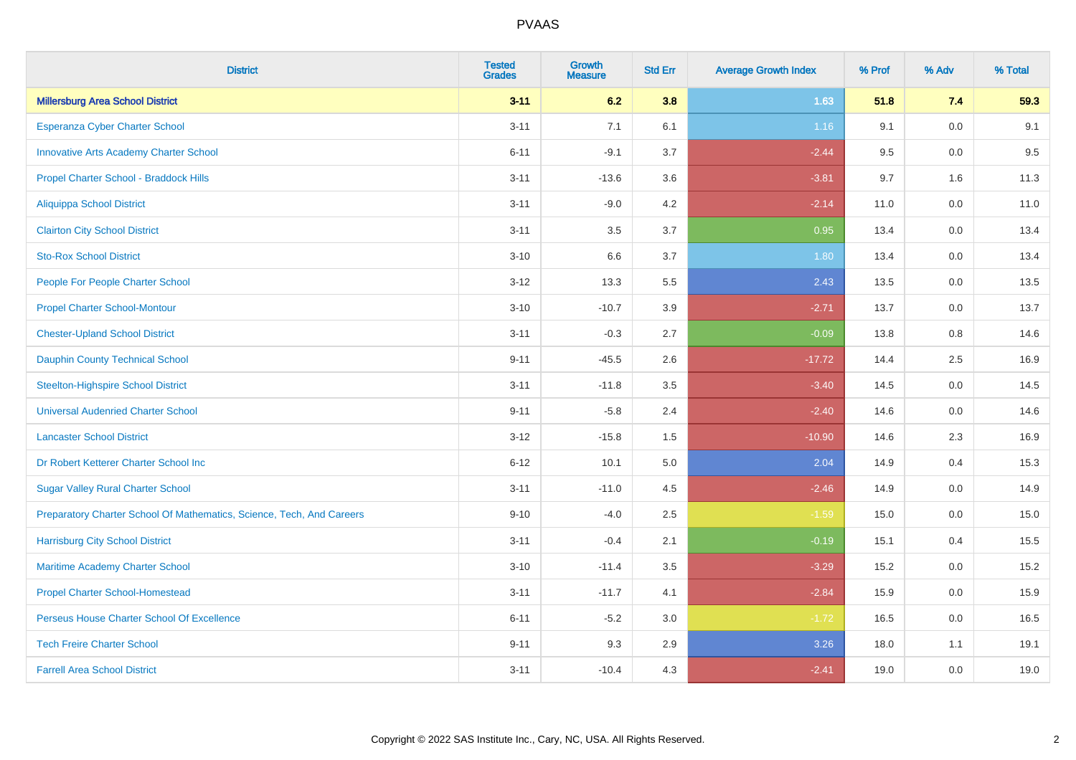| <b>District</b>                                                       | <b>Tested</b><br><b>Grades</b> | <b>Growth</b><br><b>Measure</b> | <b>Std Err</b> | <b>Average Growth Index</b> | % Prof | % Adv   | % Total |
|-----------------------------------------------------------------------|--------------------------------|---------------------------------|----------------|-----------------------------|--------|---------|---------|
| <b>Millersburg Area School District</b>                               | $3 - 11$                       | 6.2                             | 3.8            | 1.63                        | 51.8   | 7.4     | 59.3    |
| Esperanza Cyber Charter School                                        | $3 - 11$                       | 7.1                             | 6.1            | 1.16                        | 9.1    | 0.0     | 9.1     |
| <b>Innovative Arts Academy Charter School</b>                         | $6 - 11$                       | $-9.1$                          | 3.7            | $-2.44$                     | 9.5    | 0.0     | 9.5     |
| Propel Charter School - Braddock Hills                                | $3 - 11$                       | $-13.6$                         | 3.6            | $-3.81$                     | 9.7    | 1.6     | 11.3    |
| <b>Aliquippa School District</b>                                      | $3 - 11$                       | $-9.0$                          | 4.2            | $-2.14$                     | 11.0   | 0.0     | 11.0    |
| <b>Clairton City School District</b>                                  | $3 - 11$                       | 3.5                             | 3.7            | 0.95                        | 13.4   | 0.0     | 13.4    |
| <b>Sto-Rox School District</b>                                        | $3 - 10$                       | 6.6                             | 3.7            | 1.80                        | 13.4   | 0.0     | 13.4    |
| People For People Charter School                                      | $3 - 12$                       | 13.3                            | 5.5            | 2.43                        | 13.5   | 0.0     | 13.5    |
| <b>Propel Charter School-Montour</b>                                  | $3 - 10$                       | $-10.7$                         | 3.9            | $-2.71$                     | 13.7   | 0.0     | 13.7    |
| <b>Chester-Upland School District</b>                                 | $3 - 11$                       | $-0.3$                          | 2.7            | $-0.09$                     | 13.8   | 0.8     | 14.6    |
| <b>Dauphin County Technical School</b>                                | $9 - 11$                       | $-45.5$                         | 2.6            | $-17.72$                    | 14.4   | 2.5     | 16.9    |
| <b>Steelton-Highspire School District</b>                             | $3 - 11$                       | $-11.8$                         | 3.5            | $-3.40$                     | 14.5   | 0.0     | 14.5    |
| <b>Universal Audenried Charter School</b>                             | $9 - 11$                       | $-5.8$                          | 2.4            | $-2.40$                     | 14.6   | 0.0     | 14.6    |
| <b>Lancaster School District</b>                                      | $3 - 12$                       | $-15.8$                         | $1.5$          | $-10.90$                    | 14.6   | 2.3     | 16.9    |
| Dr Robert Ketterer Charter School Inc                                 | $6 - 12$                       | 10.1                            | $5.0\,$        | 2.04                        | 14.9   | 0.4     | 15.3    |
| <b>Sugar Valley Rural Charter School</b>                              | $3 - 11$                       | $-11.0$                         | 4.5            | $-2.46$                     | 14.9   | $0.0\,$ | 14.9    |
| Preparatory Charter School Of Mathematics, Science, Tech, And Careers | $9 - 10$                       | $-4.0$                          | 2.5            | $-1.59$                     | 15.0   | 0.0     | 15.0    |
| <b>Harrisburg City School District</b>                                | $3 - 11$                       | $-0.4$                          | 2.1            | $-0.19$                     | 15.1   | 0.4     | 15.5    |
| Maritime Academy Charter School                                       | $3 - 10$                       | $-11.4$                         | 3.5            | $-3.29$                     | 15.2   | 0.0     | 15.2    |
| <b>Propel Charter School-Homestead</b>                                | $3 - 11$                       | $-11.7$                         | 4.1            | $-2.84$                     | 15.9   | 0.0     | 15.9    |
| Perseus House Charter School Of Excellence                            | $6 - 11$                       | $-5.2$                          | 3.0            | $-1.72$                     | 16.5   | 0.0     | 16.5    |
| <b>Tech Freire Charter School</b>                                     | $9 - 11$                       | 9.3                             | 2.9            | 3.26                        | 18.0   | 1.1     | 19.1    |
| <b>Farrell Area School District</b>                                   | $3 - 11$                       | $-10.4$                         | 4.3            | $-2.41$                     | 19.0   | 0.0     | 19.0    |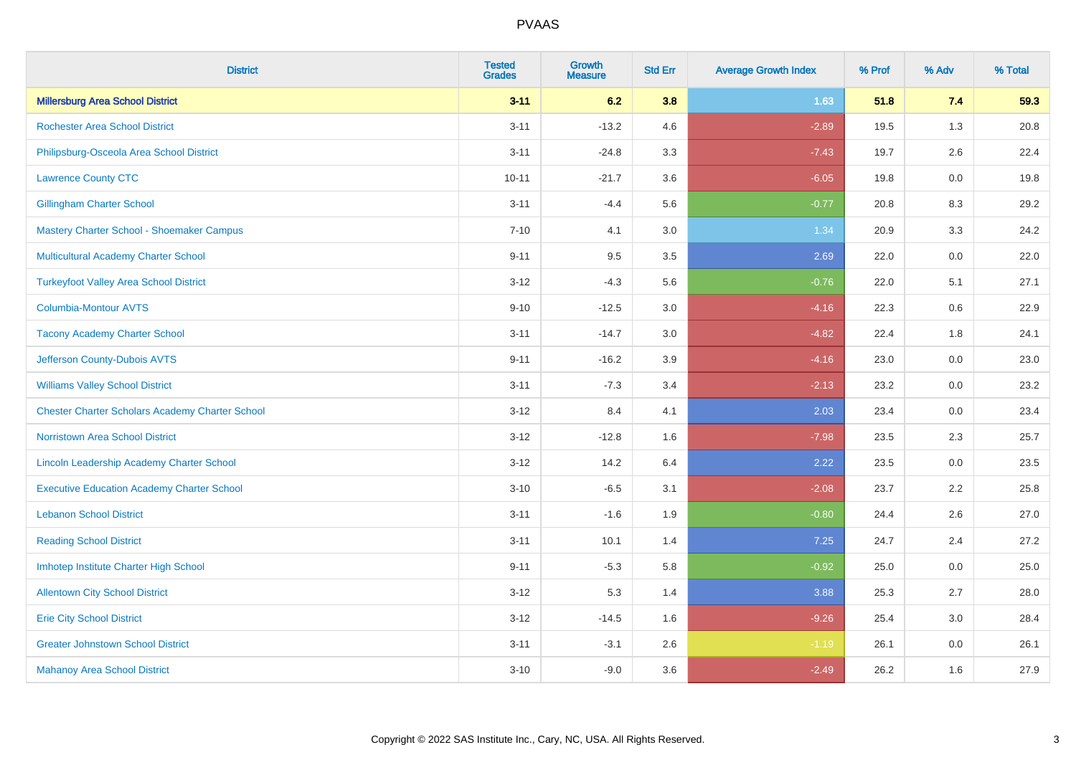| <b>District</b>                                        | <b>Tested</b><br><b>Grades</b> | <b>Growth</b><br><b>Measure</b> | <b>Std Err</b> | <b>Average Growth Index</b> | % Prof | % Adv | % Total |
|--------------------------------------------------------|--------------------------------|---------------------------------|----------------|-----------------------------|--------|-------|---------|
| <b>Millersburg Area School District</b>                | $3 - 11$                       | 6.2                             | 3.8            | 1.63                        | 51.8   | 7.4   | 59.3    |
| <b>Rochester Area School District</b>                  | $3 - 11$                       | $-13.2$                         | 4.6            | $-2.89$                     | 19.5   | 1.3   | 20.8    |
| Philipsburg-Osceola Area School District               | $3 - 11$                       | $-24.8$                         | 3.3            | $-7.43$                     | 19.7   | 2.6   | 22.4    |
| <b>Lawrence County CTC</b>                             | $10 - 11$                      | $-21.7$                         | 3.6            | $-6.05$                     | 19.8   | 0.0   | 19.8    |
| <b>Gillingham Charter School</b>                       | $3 - 11$                       | $-4.4$                          | 5.6            | $-0.77$                     | 20.8   | 8.3   | 29.2    |
| Mastery Charter School - Shoemaker Campus              | $7 - 10$                       | 4.1                             | 3.0            | 1.34                        | 20.9   | 3.3   | 24.2    |
| Multicultural Academy Charter School                   | $9 - 11$                       | 9.5                             | 3.5            | 2.69                        | 22.0   | 0.0   | 22.0    |
| <b>Turkeyfoot Valley Area School District</b>          | $3 - 12$                       | $-4.3$                          | 5.6            | $-0.76$                     | 22.0   | 5.1   | 27.1    |
| <b>Columbia-Montour AVTS</b>                           | $9 - 10$                       | $-12.5$                         | 3.0            | $-4.16$                     | 22.3   | 0.6   | 22.9    |
| <b>Tacony Academy Charter School</b>                   | $3 - 11$                       | $-14.7$                         | 3.0            | $-4.82$                     | 22.4   | 1.8   | 24.1    |
| Jefferson County-Dubois AVTS                           | $9 - 11$                       | $-16.2$                         | 3.9            | $-4.16$                     | 23.0   | 0.0   | 23.0    |
| <b>Williams Valley School District</b>                 | $3 - 11$                       | $-7.3$                          | 3.4            | $-2.13$                     | 23.2   | 0.0   | 23.2    |
| <b>Chester Charter Scholars Academy Charter School</b> | $3 - 12$                       | 8.4                             | 4.1            | 2.03                        | 23.4   | 0.0   | 23.4    |
| <b>Norristown Area School District</b>                 | $3 - 12$                       | $-12.8$                         | 1.6            | $-7.98$                     | 23.5   | 2.3   | 25.7    |
| Lincoln Leadership Academy Charter School              | $3 - 12$                       | 14.2                            | 6.4            | 2.22                        | 23.5   | 0.0   | 23.5    |
| <b>Executive Education Academy Charter School</b>      | $3 - 10$                       | $-6.5$                          | 3.1            | $-2.08$                     | 23.7   | 2.2   | 25.8    |
| <b>Lebanon School District</b>                         | $3 - 11$                       | $-1.6$                          | 1.9            | $-0.80$                     | 24.4   | 2.6   | 27.0    |
| <b>Reading School District</b>                         | $3 - 11$                       | 10.1                            | 1.4            | 7.25                        | 24.7   | 2.4   | 27.2    |
| Imhotep Institute Charter High School                  | $9 - 11$                       | $-5.3$                          | 5.8            | $-0.92$                     | 25.0   | 0.0   | 25.0    |
| <b>Allentown City School District</b>                  | $3 - 12$                       | 5.3                             | 1.4            | 3.88                        | 25.3   | 2.7   | 28.0    |
| <b>Erie City School District</b>                       | $3 - 12$                       | $-14.5$                         | 1.6            | $-9.26$                     | 25.4   | 3.0   | 28.4    |
| <b>Greater Johnstown School District</b>               | $3 - 11$                       | $-3.1$                          | 2.6            | $-1.19$                     | 26.1   | 0.0   | 26.1    |
| <b>Mahanoy Area School District</b>                    | $3 - 10$                       | $-9.0$                          | 3.6            | $-2.49$                     | 26.2   | 1.6   | 27.9    |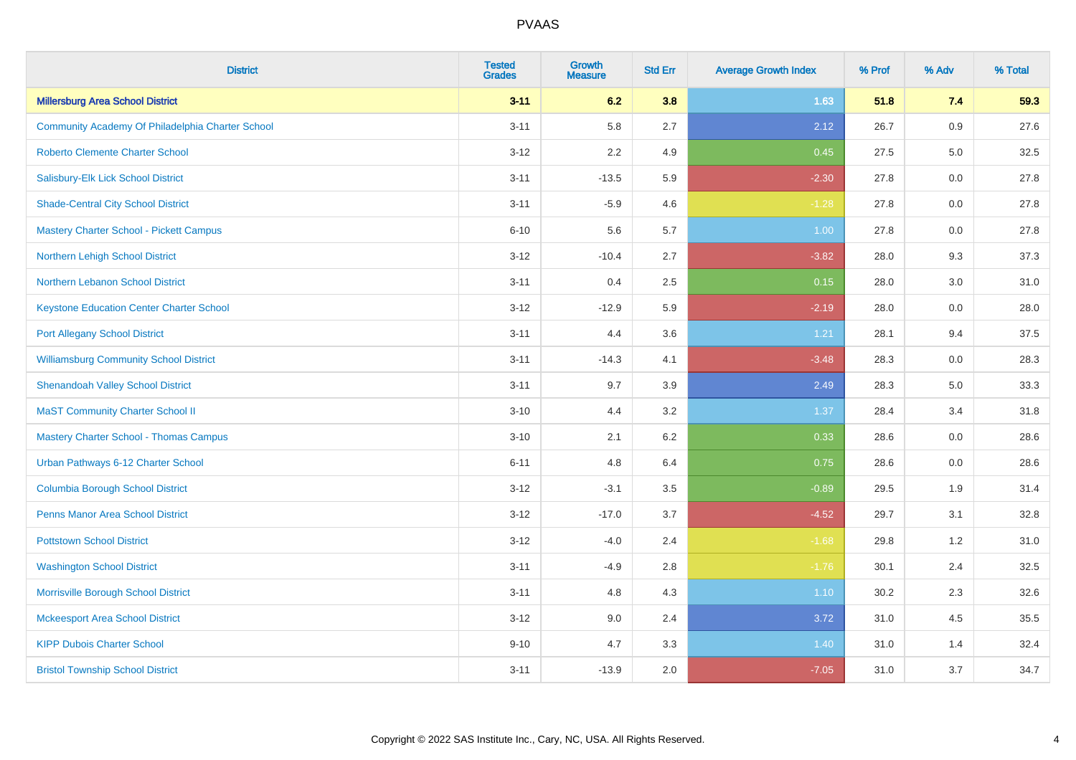| <b>District</b>                                  | <b>Tested</b><br><b>Grades</b> | <b>Growth</b><br><b>Measure</b> | <b>Std Err</b> | <b>Average Growth Index</b> | % Prof | % Adv   | % Total |
|--------------------------------------------------|--------------------------------|---------------------------------|----------------|-----------------------------|--------|---------|---------|
| <b>Millersburg Area School District</b>          | $3 - 11$                       | 6.2                             | 3.8            | 1.63                        | 51.8   | 7.4     | 59.3    |
| Community Academy Of Philadelphia Charter School | $3 - 11$                       | 5.8                             | 2.7            | 2.12                        | 26.7   | 0.9     | 27.6    |
| <b>Roberto Clemente Charter School</b>           | $3 - 12$                       | 2.2                             | 4.9            | 0.45                        | 27.5   | 5.0     | 32.5    |
| Salisbury-Elk Lick School District               | $3 - 11$                       | $-13.5$                         | 5.9            | $-2.30$                     | 27.8   | 0.0     | 27.8    |
| <b>Shade-Central City School District</b>        | $3 - 11$                       | $-5.9$                          | 4.6            | $-1.28$                     | 27.8   | 0.0     | 27.8    |
| Mastery Charter School - Pickett Campus          | $6 - 10$                       | 5.6                             | 5.7            | 1.00                        | 27.8   | 0.0     | 27.8    |
| Northern Lehigh School District                  | $3 - 12$                       | $-10.4$                         | 2.7            | $-3.82$                     | 28.0   | 9.3     | 37.3    |
| Northern Lebanon School District                 | $3 - 11$                       | 0.4                             | 2.5            | 0.15                        | 28.0   | 3.0     | 31.0    |
| <b>Keystone Education Center Charter School</b>  | $3 - 12$                       | $-12.9$                         | 5.9            | $-2.19$                     | 28.0   | $0.0\,$ | 28.0    |
| <b>Port Allegany School District</b>             | $3 - 11$                       | 4.4                             | 3.6            | 1.21                        | 28.1   | 9.4     | 37.5    |
| <b>Williamsburg Community School District</b>    | $3 - 11$                       | $-14.3$                         | 4.1            | $-3.48$                     | 28.3   | 0.0     | 28.3    |
| <b>Shenandoah Valley School District</b>         | $3 - 11$                       | 9.7                             | 3.9            | 2.49                        | 28.3   | 5.0     | 33.3    |
| <b>MaST Community Charter School II</b>          | $3 - 10$                       | 4.4                             | 3.2            | 1.37                        | 28.4   | 3.4     | 31.8    |
| <b>Mastery Charter School - Thomas Campus</b>    | $3 - 10$                       | 2.1                             | $6.2\,$        | 0.33                        | 28.6   | 0.0     | 28.6    |
| Urban Pathways 6-12 Charter School               | $6 - 11$                       | 4.8                             | 6.4            | 0.75                        | 28.6   | 0.0     | 28.6    |
| <b>Columbia Borough School District</b>          | $3 - 12$                       | $-3.1$                          | 3.5            | $-0.89$                     | 29.5   | 1.9     | 31.4    |
| <b>Penns Manor Area School District</b>          | $3 - 12$                       | $-17.0$                         | 3.7            | $-4.52$                     | 29.7   | 3.1     | 32.8    |
| <b>Pottstown School District</b>                 | $3 - 12$                       | $-4.0$                          | 2.4            | $-1.68$                     | 29.8   | 1.2     | 31.0    |
| <b>Washington School District</b>                | $3 - 11$                       | $-4.9$                          | 2.8            | $-1.76$                     | 30.1   | 2.4     | 32.5    |
| Morrisville Borough School District              | $3 - 11$                       | 4.8                             | 4.3            | $1.10$                      | 30.2   | 2.3     | 32.6    |
| <b>Mckeesport Area School District</b>           | $3 - 12$                       | 9.0                             | 2.4            | 3.72                        | 31.0   | 4.5     | 35.5    |
| <b>KIPP Dubois Charter School</b>                | $9 - 10$                       | 4.7                             | 3.3            | 1.40                        | 31.0   | 1.4     | 32.4    |
| <b>Bristol Township School District</b>          | $3 - 11$                       | $-13.9$                         | 2.0            | $-7.05$                     | 31.0   | 3.7     | 34.7    |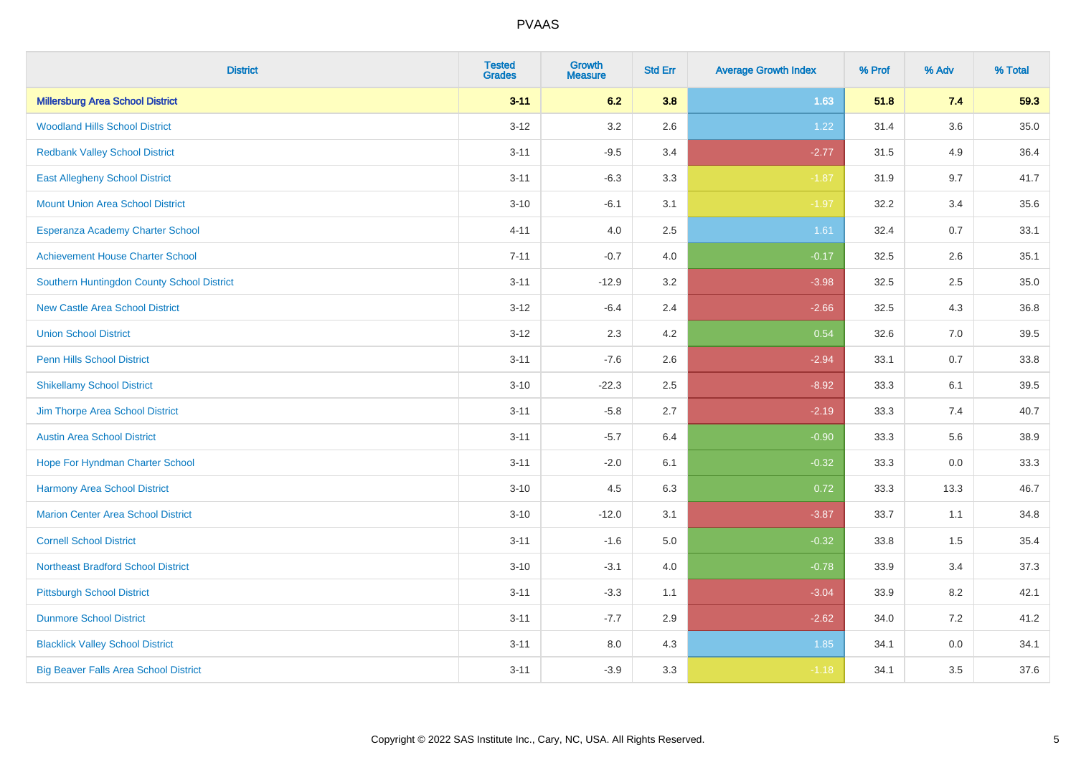| <b>District</b>                              | <b>Tested</b><br><b>Grades</b> | <b>Growth</b><br><b>Measure</b> | <b>Std Err</b> | <b>Average Growth Index</b> | % Prof | % Adv   | % Total |
|----------------------------------------------|--------------------------------|---------------------------------|----------------|-----------------------------|--------|---------|---------|
| <b>Millersburg Area School District</b>      | $3 - 11$                       | 6.2                             | 3.8            | 1.63                        | 51.8   | 7.4     | 59.3    |
| <b>Woodland Hills School District</b>        | $3 - 12$                       | 3.2                             | 2.6            | 1.22                        | 31.4   | $3.6\,$ | 35.0    |
| <b>Redbank Valley School District</b>        | $3 - 11$                       | $-9.5$                          | 3.4            | $-2.77$                     | 31.5   | 4.9     | 36.4    |
| <b>East Allegheny School District</b>        | $3 - 11$                       | $-6.3$                          | 3.3            | $-1.87$                     | 31.9   | 9.7     | 41.7    |
| <b>Mount Union Area School District</b>      | $3 - 10$                       | $-6.1$                          | 3.1            | $-1.97$                     | 32.2   | 3.4     | 35.6    |
| Esperanza Academy Charter School             | $4 - 11$                       | 4.0                             | 2.5            | 1.61                        | 32.4   | 0.7     | 33.1    |
| <b>Achievement House Charter School</b>      | $7 - 11$                       | $-0.7$                          | 4.0            | $-0.17$                     | 32.5   | 2.6     | 35.1    |
| Southern Huntingdon County School District   | $3 - 11$                       | $-12.9$                         | 3.2            | $-3.98$                     | 32.5   | 2.5     | 35.0    |
| <b>New Castle Area School District</b>       | $3 - 12$                       | $-6.4$                          | 2.4            | $-2.66$                     | 32.5   | 4.3     | 36.8    |
| <b>Union School District</b>                 | $3 - 12$                       | 2.3                             | 4.2            | 0.54                        | 32.6   | 7.0     | 39.5    |
| Penn Hills School District                   | $3 - 11$                       | $-7.6$                          | 2.6            | $-2.94$                     | 33.1   | 0.7     | 33.8    |
| <b>Shikellamy School District</b>            | $3 - 10$                       | $-22.3$                         | 2.5            | $-8.92$                     | 33.3   | 6.1     | 39.5    |
| Jim Thorpe Area School District              | $3 - 11$                       | $-5.8$                          | 2.7            | $-2.19$                     | 33.3   | 7.4     | 40.7    |
| <b>Austin Area School District</b>           | $3 - 11$                       | $-5.7$                          | 6.4            | $-0.90$                     | 33.3   | 5.6     | 38.9    |
| Hope For Hyndman Charter School              | $3 - 11$                       | $-2.0$                          | 6.1            | $-0.32$                     | 33.3   | 0.0     | 33.3    |
| <b>Harmony Area School District</b>          | $3 - 10$                       | 4.5                             | 6.3            | 0.72                        | 33.3   | 13.3    | 46.7    |
| <b>Marion Center Area School District</b>    | $3 - 10$                       | $-12.0$                         | 3.1            | $-3.87$                     | 33.7   | 1.1     | 34.8    |
| <b>Cornell School District</b>               | $3 - 11$                       | $-1.6$                          | 5.0            | $-0.32$                     | 33.8   | 1.5     | 35.4    |
| <b>Northeast Bradford School District</b>    | $3 - 10$                       | $-3.1$                          | 4.0            | $-0.78$                     | 33.9   | 3.4     | 37.3    |
| <b>Pittsburgh School District</b>            | $3 - 11$                       | $-3.3$                          | 1.1            | $-3.04$                     | 33.9   | 8.2     | 42.1    |
| <b>Dunmore School District</b>               | $3 - 11$                       | $-7.7$                          | 2.9            | $-2.62$                     | 34.0   | 7.2     | 41.2    |
| <b>Blacklick Valley School District</b>      | $3 - 11$                       | 8.0                             | 4.3            | 1.85                        | 34.1   | 0.0     | 34.1    |
| <b>Big Beaver Falls Area School District</b> | $3 - 11$                       | $-3.9$                          | 3.3            | $-1.18$                     | 34.1   | 3.5     | 37.6    |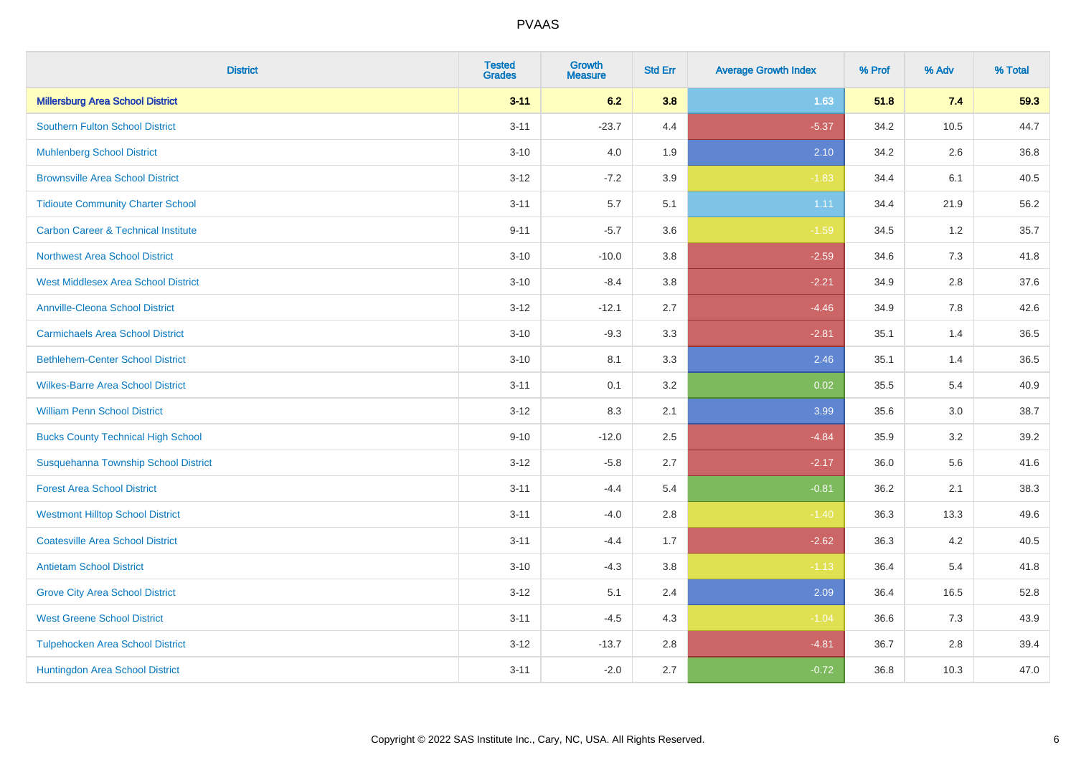| <b>District</b>                                | <b>Tested</b><br><b>Grades</b> | Growth<br><b>Measure</b> | <b>Std Err</b> | <b>Average Growth Index</b> | % Prof | % Adv   | % Total |
|------------------------------------------------|--------------------------------|--------------------------|----------------|-----------------------------|--------|---------|---------|
| <b>Millersburg Area School District</b>        | $3 - 11$                       | 6.2                      | 3.8            | 1.63                        | 51.8   | 7.4     | 59.3    |
| <b>Southern Fulton School District</b>         | $3 - 11$                       | $-23.7$                  | 4.4            | $-5.37$                     | 34.2   | 10.5    | 44.7    |
| <b>Muhlenberg School District</b>              | $3 - 10$                       | 4.0                      | 1.9            | 2.10                        | 34.2   | 2.6     | 36.8    |
| <b>Brownsville Area School District</b>        | $3 - 12$                       | $-7.2$                   | 3.9            | $-1.83$                     | 34.4   | 6.1     | 40.5    |
| <b>Tidioute Community Charter School</b>       | $3 - 11$                       | 5.7                      | 5.1            | 1.11                        | 34.4   | 21.9    | 56.2    |
| <b>Carbon Career &amp; Technical Institute</b> | $9 - 11$                       | $-5.7$                   | 3.6            | $-1.59$                     | 34.5   | $1.2\,$ | 35.7    |
| <b>Northwest Area School District</b>          | $3 - 10$                       | $-10.0$                  | 3.8            | $-2.59$                     | 34.6   | 7.3     | 41.8    |
| <b>West Middlesex Area School District</b>     | $3 - 10$                       | $-8.4$                   | 3.8            | $-2.21$                     | 34.9   | 2.8     | 37.6    |
| <b>Annville-Cleona School District</b>         | $3 - 12$                       | $-12.1$                  | 2.7            | $-4.46$                     | 34.9   | 7.8     | 42.6    |
| <b>Carmichaels Area School District</b>        | $3 - 10$                       | $-9.3$                   | 3.3            | $-2.81$                     | 35.1   | 1.4     | 36.5    |
| <b>Bethlehem-Center School District</b>        | $3 - 10$                       | 8.1                      | 3.3            | 2.46                        | 35.1   | 1.4     | 36.5    |
| <b>Wilkes-Barre Area School District</b>       | $3 - 11$                       | 0.1                      | 3.2            | 0.02                        | 35.5   | 5.4     | 40.9    |
| <b>William Penn School District</b>            | $3 - 12$                       | 8.3                      | 2.1            | 3.99                        | 35.6   | 3.0     | 38.7    |
| <b>Bucks County Technical High School</b>      | $9 - 10$                       | $-12.0$                  | 2.5            | $-4.84$                     | 35.9   | 3.2     | 39.2    |
| Susquehanna Township School District           | $3 - 12$                       | $-5.8$                   | 2.7            | $-2.17$                     | 36.0   | 5.6     | 41.6    |
| <b>Forest Area School District</b>             | $3 - 11$                       | $-4.4$                   | 5.4            | $-0.81$                     | 36.2   | 2.1     | 38.3    |
| <b>Westmont Hilltop School District</b>        | $3 - 11$                       | $-4.0$                   | 2.8            | $-1.40$                     | 36.3   | 13.3    | 49.6    |
| <b>Coatesville Area School District</b>        | $3 - 11$                       | $-4.4$                   | 1.7            | $-2.62$                     | 36.3   | 4.2     | 40.5    |
| <b>Antietam School District</b>                | $3 - 10$                       | $-4.3$                   | 3.8            | $-1.13$                     | 36.4   | 5.4     | 41.8    |
| <b>Grove City Area School District</b>         | $3 - 12$                       | 5.1                      | 2.4            | 2.09                        | 36.4   | 16.5    | 52.8    |
| <b>West Greene School District</b>             | $3 - 11$                       | $-4.5$                   | 4.3            | $-1.04$                     | 36.6   | 7.3     | 43.9    |
| <b>Tulpehocken Area School District</b>        | $3 - 12$                       | $-13.7$                  | 2.8            | $-4.81$                     | 36.7   | 2.8     | 39.4    |
| Huntingdon Area School District                | $3 - 11$                       | $-2.0$                   | 2.7            | $-0.72$                     | 36.8   | 10.3    | 47.0    |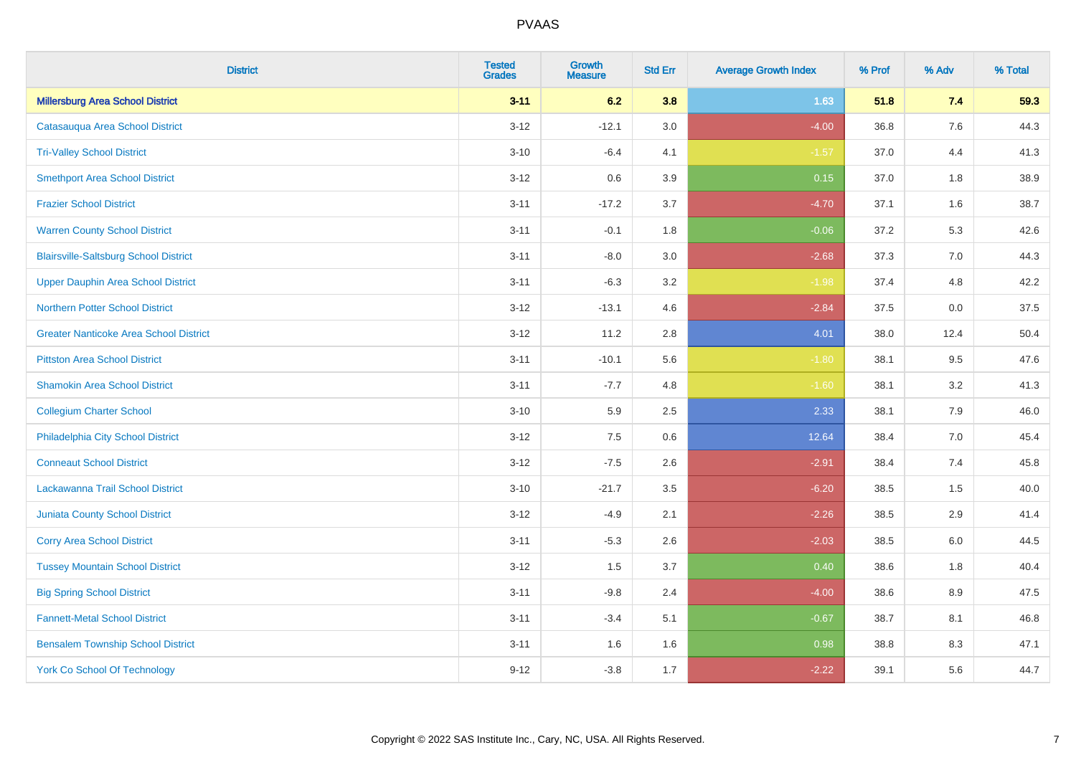| <b>District</b>                               | <b>Tested</b><br><b>Grades</b> | <b>Growth</b><br><b>Measure</b> | <b>Std Err</b> | <b>Average Growth Index</b> | % Prof | % Adv   | % Total |
|-----------------------------------------------|--------------------------------|---------------------------------|----------------|-----------------------------|--------|---------|---------|
| <b>Millersburg Area School District</b>       | $3 - 11$                       | 6.2                             | 3.8            | 1.63                        | 51.8   | 7.4     | 59.3    |
| Catasaugua Area School District               | $3 - 12$                       | $-12.1$                         | 3.0            | $-4.00$                     | 36.8   | $7.6\,$ | 44.3    |
| <b>Tri-Valley School District</b>             | $3 - 10$                       | $-6.4$                          | 4.1            | $-1.57$                     | 37.0   | 4.4     | 41.3    |
| <b>Smethport Area School District</b>         | $3 - 12$                       | 0.6                             | 3.9            | 0.15                        | 37.0   | 1.8     | 38.9    |
| <b>Frazier School District</b>                | $3 - 11$                       | $-17.2$                         | 3.7            | $-4.70$                     | 37.1   | 1.6     | 38.7    |
| <b>Warren County School District</b>          | $3 - 11$                       | $-0.1$                          | 1.8            | $-0.06$                     | 37.2   | 5.3     | 42.6    |
| <b>Blairsville-Saltsburg School District</b>  | $3 - 11$                       | $-8.0$                          | 3.0            | $-2.68$                     | 37.3   | 7.0     | 44.3    |
| <b>Upper Dauphin Area School District</b>     | $3 - 11$                       | $-6.3$                          | 3.2            | $-1.98$                     | 37.4   | 4.8     | 42.2    |
| Northern Potter School District               | $3 - 12$                       | $-13.1$                         | 4.6            | $-2.84$                     | 37.5   | 0.0     | 37.5    |
| <b>Greater Nanticoke Area School District</b> | $3 - 12$                       | 11.2                            | 2.8            | 4.01                        | 38.0   | 12.4    | 50.4    |
| <b>Pittston Area School District</b>          | $3 - 11$                       | $-10.1$                         | 5.6            | $-1.80$                     | 38.1   | 9.5     | 47.6    |
| <b>Shamokin Area School District</b>          | $3 - 11$                       | $-7.7$                          | 4.8            | $-1.60$                     | 38.1   | 3.2     | 41.3    |
| <b>Collegium Charter School</b>               | $3 - 10$                       | 5.9                             | 2.5            | 2.33                        | 38.1   | 7.9     | 46.0    |
| Philadelphia City School District             | $3 - 12$                       | 7.5                             | 0.6            | 12.64                       | 38.4   | $7.0\,$ | 45.4    |
| <b>Conneaut School District</b>               | $3 - 12$                       | $-7.5$                          | 2.6            | $-2.91$                     | 38.4   | 7.4     | 45.8    |
| Lackawanna Trail School District              | $3 - 10$                       | $-21.7$                         | 3.5            | $-6.20$                     | 38.5   | 1.5     | 40.0    |
| <b>Juniata County School District</b>         | $3 - 12$                       | $-4.9$                          | 2.1            | $-2.26$                     | 38.5   | 2.9     | 41.4    |
| <b>Corry Area School District</b>             | $3 - 11$                       | $-5.3$                          | 2.6            | $-2.03$                     | 38.5   | 6.0     | 44.5    |
| <b>Tussey Mountain School District</b>        | $3 - 12$                       | 1.5                             | 3.7            | 0.40                        | 38.6   | 1.8     | 40.4    |
| <b>Big Spring School District</b>             | $3 - 11$                       | $-9.8$                          | 2.4            | $-4.00$                     | 38.6   | 8.9     | 47.5    |
| <b>Fannett-Metal School District</b>          | $3 - 11$                       | $-3.4$                          | 5.1            | $-0.67$                     | 38.7   | 8.1     | 46.8    |
| <b>Bensalem Township School District</b>      | $3 - 11$                       | 1.6                             | 1.6            | 0.98                        | 38.8   | 8.3     | 47.1    |
| <b>York Co School Of Technology</b>           | $9 - 12$                       | $-3.8$                          | 1.7            | $-2.22$                     | 39.1   | 5.6     | 44.7    |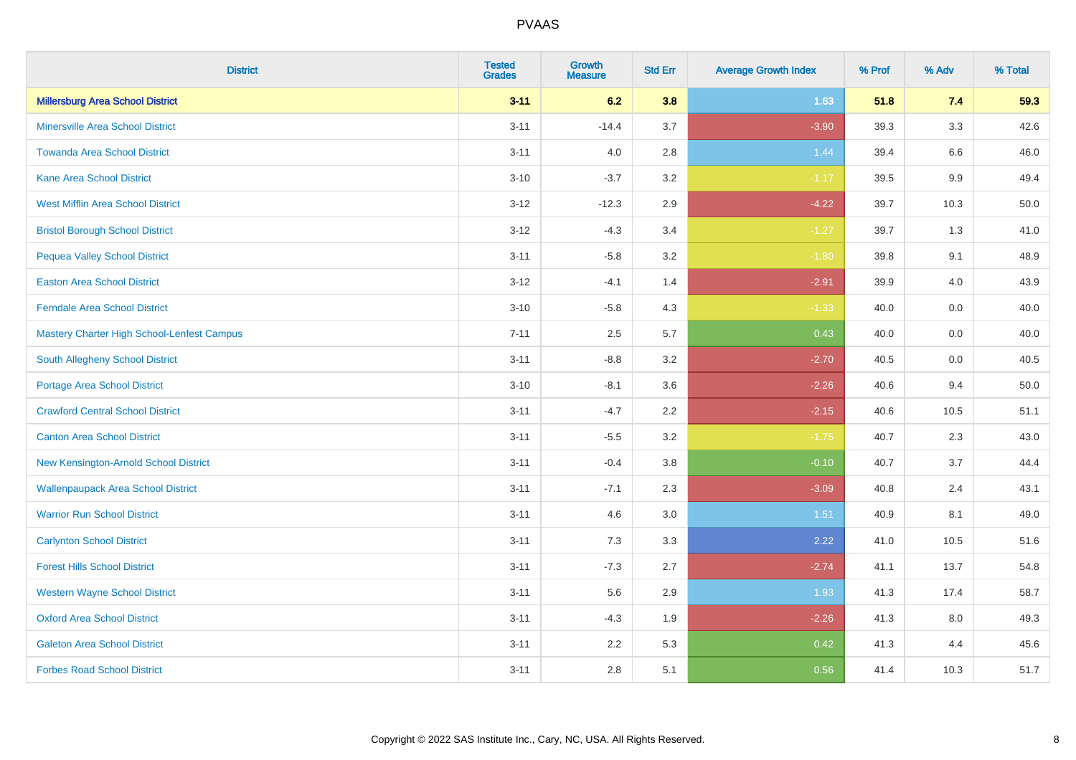| <b>District</b>                            | <b>Tested</b><br><b>Grades</b> | Growth<br><b>Measure</b> | <b>Std Err</b> | <b>Average Growth Index</b> | % Prof | % Adv | % Total |
|--------------------------------------------|--------------------------------|--------------------------|----------------|-----------------------------|--------|-------|---------|
| <b>Millersburg Area School District</b>    | $3 - 11$                       | 6.2                      | 3.8            | 1.63                        | 51.8   | 7.4   | 59.3    |
| <b>Minersville Area School District</b>    | $3 - 11$                       | $-14.4$                  | 3.7            | $-3.90$                     | 39.3   | 3.3   | 42.6    |
| <b>Towanda Area School District</b>        | $3 - 11$                       | 4.0                      | 2.8            | 1.44                        | 39.4   | 6.6   | 46.0    |
| <b>Kane Area School District</b>           | $3 - 10$                       | $-3.7$                   | 3.2            | $-1.17$                     | 39.5   | 9.9   | 49.4    |
| <b>West Mifflin Area School District</b>   | $3 - 12$                       | $-12.3$                  | 2.9            | $-4.22$                     | 39.7   | 10.3  | 50.0    |
| <b>Bristol Borough School District</b>     | $3 - 12$                       | $-4.3$                   | 3.4            | $-1.27$                     | 39.7   | 1.3   | 41.0    |
| <b>Pequea Valley School District</b>       | $3 - 11$                       | $-5.8$                   | 3.2            | $-1.80$                     | 39.8   | 9.1   | 48.9    |
| <b>Easton Area School District</b>         | $3 - 12$                       | $-4.1$                   | 1.4            | $-2.91$                     | 39.9   | 4.0   | 43.9    |
| <b>Ferndale Area School District</b>       | $3 - 10$                       | $-5.8$                   | 4.3            | $-1.33$                     | 40.0   | 0.0   | 40.0    |
| Mastery Charter High School-Lenfest Campus | $7 - 11$                       | 2.5                      | 5.7            | 0.43                        | 40.0   | 0.0   | 40.0    |
| <b>South Allegheny School District</b>     | $3 - 11$                       | $-8.8$                   | 3.2            | $-2.70$                     | 40.5   | 0.0   | 40.5    |
| <b>Portage Area School District</b>        | $3 - 10$                       | $-8.1$                   | 3.6            | $-2.26$                     | 40.6   | 9.4   | 50.0    |
| <b>Crawford Central School District</b>    | $3 - 11$                       | $-4.7$                   | 2.2            | $-2.15$                     | 40.6   | 10.5  | 51.1    |
| <b>Canton Area School District</b>         | $3 - 11$                       | $-5.5$                   | 3.2            | $-1.75$                     | 40.7   | 2.3   | 43.0    |
| New Kensington-Arnold School District      | $3 - 11$                       | $-0.4$                   | 3.8            | $-0.10$                     | 40.7   | 3.7   | 44.4    |
| <b>Wallenpaupack Area School District</b>  | $3 - 11$                       | $-7.1$                   | 2.3            | $-3.09$                     | 40.8   | 2.4   | 43.1    |
| <b>Warrior Run School District</b>         | $3 - 11$                       | 4.6                      | 3.0            | 1.51                        | 40.9   | 8.1   | 49.0    |
| <b>Carlynton School District</b>           | $3 - 11$                       | 7.3                      | 3.3            | 2.22                        | 41.0   | 10.5  | 51.6    |
| <b>Forest Hills School District</b>        | $3 - 11$                       | $-7.3$                   | 2.7            | $-2.74$                     | 41.1   | 13.7  | 54.8    |
| <b>Western Wayne School District</b>       | $3 - 11$                       | 5.6                      | 2.9            | 1.93                        | 41.3   | 17.4  | 58.7    |
| <b>Oxford Area School District</b>         | $3 - 11$                       | $-4.3$                   | 1.9            | $-2.26$                     | 41.3   | 8.0   | 49.3    |
| <b>Galeton Area School District</b>        | $3 - 11$                       | 2.2                      | 5.3            | 0.42                        | 41.3   | 4.4   | 45.6    |
| <b>Forbes Road School District</b>         | $3 - 11$                       | 2.8                      | 5.1            | 0.56                        | 41.4   | 10.3  | 51.7    |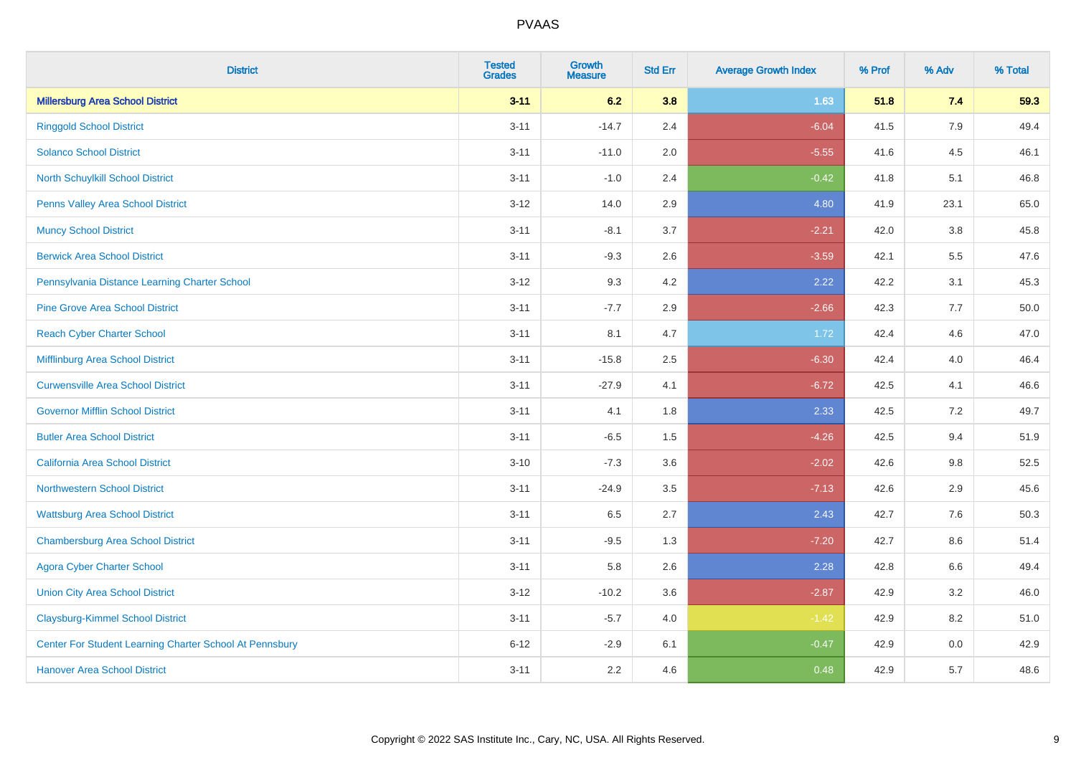| <b>District</b>                                         | <b>Tested</b><br><b>Grades</b> | <b>Growth</b><br><b>Measure</b> | <b>Std Err</b> | <b>Average Growth Index</b> | % Prof | % Adv   | % Total |
|---------------------------------------------------------|--------------------------------|---------------------------------|----------------|-----------------------------|--------|---------|---------|
| <b>Millersburg Area School District</b>                 | $3 - 11$                       | 6.2                             | 3.8            | 1.63                        | 51.8   | 7.4     | 59.3    |
| <b>Ringgold School District</b>                         | $3 - 11$                       | $-14.7$                         | 2.4            | $-6.04$                     | 41.5   | 7.9     | 49.4    |
| <b>Solanco School District</b>                          | $3 - 11$                       | $-11.0$                         | 2.0            | $-5.55$                     | 41.6   | 4.5     | 46.1    |
| North Schuylkill School District                        | $3 - 11$                       | $-1.0$                          | 2.4            | $-0.42$                     | 41.8   | 5.1     | 46.8    |
| <b>Penns Valley Area School District</b>                | $3 - 12$                       | 14.0                            | 2.9            | 4.80                        | 41.9   | 23.1    | 65.0    |
| <b>Muncy School District</b>                            | $3 - 11$                       | $-8.1$                          | 3.7            | $-2.21$                     | 42.0   | $3.8\,$ | 45.8    |
| <b>Berwick Area School District</b>                     | $3 - 11$                       | $-9.3$                          | 2.6            | $-3.59$                     | 42.1   | 5.5     | 47.6    |
| Pennsylvania Distance Learning Charter School           | $3 - 12$                       | 9.3                             | 4.2            | 2.22                        | 42.2   | 3.1     | 45.3    |
| <b>Pine Grove Area School District</b>                  | $3 - 11$                       | $-7.7$                          | 2.9            | $-2.66$                     | 42.3   | 7.7     | 50.0    |
| <b>Reach Cyber Charter School</b>                       | $3 - 11$                       | 8.1                             | 4.7            | 1.72                        | 42.4   | 4.6     | 47.0    |
| Mifflinburg Area School District                        | $3 - 11$                       | $-15.8$                         | 2.5            | $-6.30$                     | 42.4   | 4.0     | 46.4    |
| <b>Curwensville Area School District</b>                | $3 - 11$                       | $-27.9$                         | 4.1            | $-6.72$                     | 42.5   | 4.1     | 46.6    |
| <b>Governor Mifflin School District</b>                 | $3 - 11$                       | 4.1                             | 1.8            | 2.33                        | 42.5   | 7.2     | 49.7    |
| <b>Butler Area School District</b>                      | $3 - 11$                       | $-6.5$                          | 1.5            | $-4.26$                     | 42.5   | 9.4     | 51.9    |
| California Area School District                         | $3 - 10$                       | $-7.3$                          | 3.6            | $-2.02$                     | 42.6   | 9.8     | 52.5    |
| <b>Northwestern School District</b>                     | $3 - 11$                       | $-24.9$                         | 3.5            | $-7.13$                     | 42.6   | 2.9     | 45.6    |
| <b>Wattsburg Area School District</b>                   | $3 - 11$                       | 6.5                             | 2.7            | 2.43                        | 42.7   | 7.6     | 50.3    |
| <b>Chambersburg Area School District</b>                | $3 - 11$                       | $-9.5$                          | 1.3            | $-7.20$                     | 42.7   | 8.6     | 51.4    |
| <b>Agora Cyber Charter School</b>                       | $3 - 11$                       | 5.8                             | 2.6            | 2.28                        | 42.8   | 6.6     | 49.4    |
| <b>Union City Area School District</b>                  | $3 - 12$                       | $-10.2$                         | 3.6            | $-2.87$                     | 42.9   | 3.2     | 46.0    |
| <b>Claysburg-Kimmel School District</b>                 | $3 - 11$                       | $-5.7$                          | 4.0            | $-1.42$                     | 42.9   | 8.2     | 51.0    |
| Center For Student Learning Charter School At Pennsbury | $6 - 12$                       | $-2.9$                          | 6.1            | $-0.47$                     | 42.9   | 0.0     | 42.9    |
| <b>Hanover Area School District</b>                     | $3 - 11$                       | 2.2                             | 4.6            | 0.48                        | 42.9   | 5.7     | 48.6    |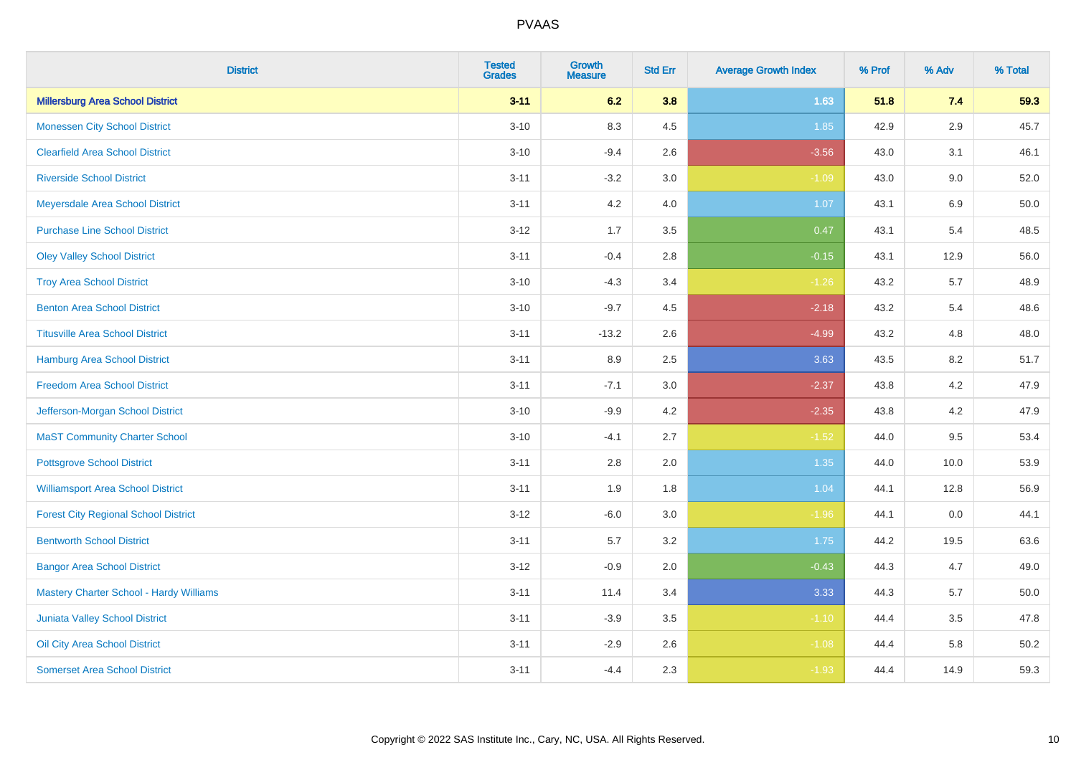| <b>District</b>                                | <b>Tested</b><br><b>Grades</b> | <b>Growth</b><br><b>Measure</b> | <b>Std Err</b> | <b>Average Growth Index</b> | % Prof | % Adv   | % Total |
|------------------------------------------------|--------------------------------|---------------------------------|----------------|-----------------------------|--------|---------|---------|
| <b>Millersburg Area School District</b>        | $3 - 11$                       | 6.2                             | 3.8            | 1.63                        | 51.8   | 7.4     | 59.3    |
| <b>Monessen City School District</b>           | $3 - 10$                       | 8.3                             | 4.5            | 1.85                        | 42.9   | $2.9\,$ | 45.7    |
| <b>Clearfield Area School District</b>         | $3 - 10$                       | $-9.4$                          | 2.6            | $-3.56$                     | 43.0   | 3.1     | 46.1    |
| <b>Riverside School District</b>               | $3 - 11$                       | $-3.2$                          | 3.0            | $-1.09$                     | 43.0   | 9.0     | 52.0    |
| Meyersdale Area School District                | $3 - 11$                       | 4.2                             | 4.0            | 1.07                        | 43.1   | 6.9     | 50.0    |
| <b>Purchase Line School District</b>           | $3 - 12$                       | 1.7                             | 3.5            | 0.47                        | 43.1   | 5.4     | 48.5    |
| <b>Oley Valley School District</b>             | $3 - 11$                       | $-0.4$                          | 2.8            | $-0.15$                     | 43.1   | 12.9    | 56.0    |
| <b>Troy Area School District</b>               | $3 - 10$                       | $-4.3$                          | 3.4            | $-1.26$                     | 43.2   | 5.7     | 48.9    |
| <b>Benton Area School District</b>             | $3 - 10$                       | $-9.7$                          | 4.5            | $-2.18$                     | 43.2   | 5.4     | 48.6    |
| <b>Titusville Area School District</b>         | $3 - 11$                       | $-13.2$                         | 2.6            | $-4.99$                     | 43.2   | 4.8     | 48.0    |
| Hamburg Area School District                   | $3 - 11$                       | 8.9                             | 2.5            | 3.63                        | 43.5   | 8.2     | 51.7    |
| <b>Freedom Area School District</b>            | $3 - 11$                       | $-7.1$                          | 3.0            | $-2.37$                     | 43.8   | 4.2     | 47.9    |
| Jefferson-Morgan School District               | $3 - 10$                       | $-9.9$                          | 4.2            | $-2.35$                     | 43.8   | 4.2     | 47.9    |
| <b>MaST Community Charter School</b>           | $3 - 10$                       | $-4.1$                          | 2.7            | $-1.52$                     | 44.0   | 9.5     | 53.4    |
| <b>Pottsgrove School District</b>              | $3 - 11$                       | 2.8                             | 2.0            | 1.35                        | 44.0   | 10.0    | 53.9    |
| <b>Williamsport Area School District</b>       | $3 - 11$                       | 1.9                             | 1.8            | 1.04                        | 44.1   | 12.8    | 56.9    |
| <b>Forest City Regional School District</b>    | $3 - 12$                       | $-6.0$                          | 3.0            | $-1.96$                     | 44.1   | 0.0     | 44.1    |
| <b>Bentworth School District</b>               | $3 - 11$                       | 5.7                             | 3.2            | 1.75                        | 44.2   | 19.5    | 63.6    |
| <b>Bangor Area School District</b>             | $3 - 12$                       | $-0.9$                          | 2.0            | $-0.43$                     | 44.3   | 4.7     | 49.0    |
| <b>Mastery Charter School - Hardy Williams</b> | $3 - 11$                       | 11.4                            | 3.4            | 3.33                        | 44.3   | 5.7     | 50.0    |
| <b>Juniata Valley School District</b>          | $3 - 11$                       | $-3.9$                          | 3.5            | $-1.10$                     | 44.4   | 3.5     | 47.8    |
| Oil City Area School District                  | $3 - 11$                       | $-2.9$                          | 2.6            | $-1.08$                     | 44.4   | 5.8     | 50.2    |
| <b>Somerset Area School District</b>           | $3 - 11$                       | $-4.4$                          | 2.3            | $-1.93$                     | 44.4   | 14.9    | 59.3    |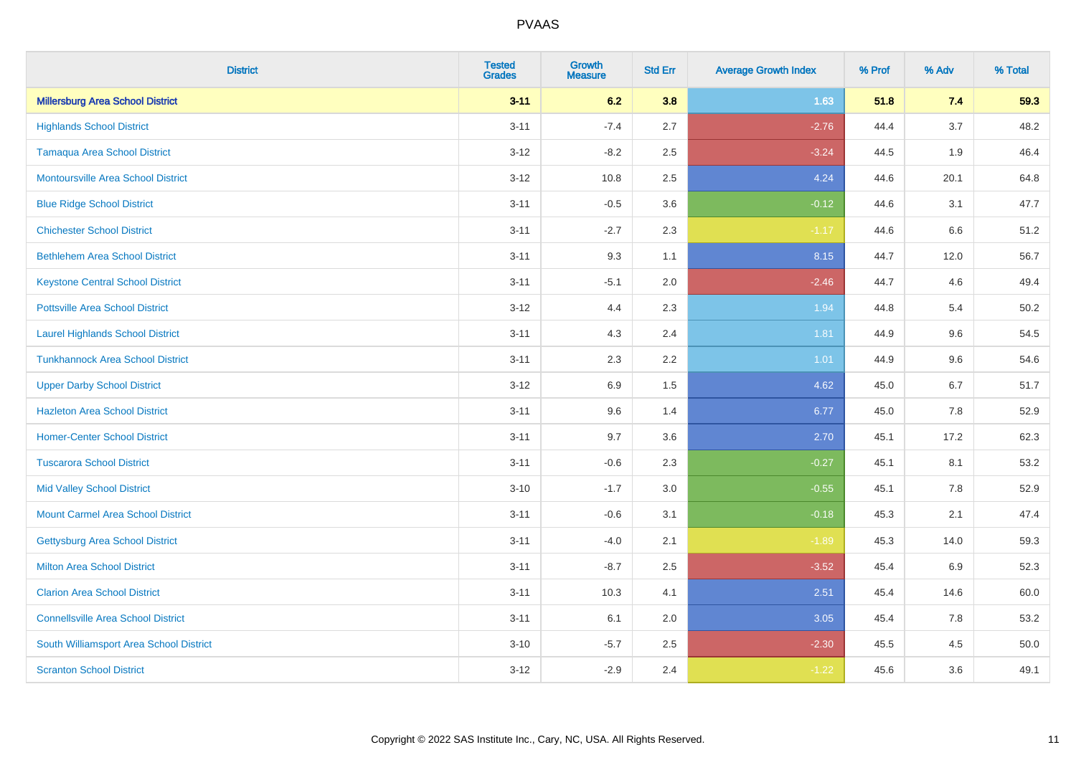| <b>District</b>                           | <b>Tested</b><br><b>Grades</b> | <b>Growth</b><br><b>Measure</b> | <b>Std Err</b> | <b>Average Growth Index</b> | % Prof | % Adv | % Total |
|-------------------------------------------|--------------------------------|---------------------------------|----------------|-----------------------------|--------|-------|---------|
| <b>Millersburg Area School District</b>   | $3 - 11$                       | 6.2                             | 3.8            | 1.63                        | 51.8   | 7.4   | 59.3    |
| <b>Highlands School District</b>          | $3 - 11$                       | $-7.4$                          | 2.7            | $-2.76$                     | 44.4   | 3.7   | 48.2    |
| <b>Tamaqua Area School District</b>       | $3 - 12$                       | $-8.2$                          | 2.5            | $-3.24$                     | 44.5   | 1.9   | 46.4    |
| <b>Montoursville Area School District</b> | $3 - 12$                       | 10.8                            | 2.5            | 4.24                        | 44.6   | 20.1  | 64.8    |
| <b>Blue Ridge School District</b>         | $3 - 11$                       | $-0.5$                          | 3.6            | $-0.12$                     | 44.6   | 3.1   | 47.7    |
| <b>Chichester School District</b>         | $3 - 11$                       | $-2.7$                          | 2.3            | $-1.17$                     | 44.6   | 6.6   | 51.2    |
| <b>Bethlehem Area School District</b>     | $3 - 11$                       | 9.3                             | 1.1            | 8.15                        | 44.7   | 12.0  | 56.7    |
| <b>Keystone Central School District</b>   | $3 - 11$                       | $-5.1$                          | 2.0            | $-2.46$                     | 44.7   | 4.6   | 49.4    |
| <b>Pottsville Area School District</b>    | $3-12$                         | 4.4                             | 2.3            | 1.94                        | 44.8   | 5.4   | 50.2    |
| <b>Laurel Highlands School District</b>   | $3 - 11$                       | 4.3                             | 2.4            | 1.81                        | 44.9   | 9.6   | 54.5    |
| <b>Tunkhannock Area School District</b>   | $3 - 11$                       | 2.3                             | 2.2            | 1.01                        | 44.9   | 9.6   | 54.6    |
| <b>Upper Darby School District</b>        | $3 - 12$                       | 6.9                             | 1.5            | 4.62                        | 45.0   | 6.7   | 51.7    |
| <b>Hazleton Area School District</b>      | $3 - 11$                       | 9.6                             | 1.4            | 6.77                        | 45.0   | 7.8   | 52.9    |
| <b>Homer-Center School District</b>       | $3 - 11$                       | 9.7                             | 3.6            | 2.70                        | 45.1   | 17.2  | 62.3    |
| <b>Tuscarora School District</b>          | $3 - 11$                       | $-0.6$                          | 2.3            | $-0.27$                     | 45.1   | 8.1   | 53.2    |
| <b>Mid Valley School District</b>         | $3 - 10$                       | $-1.7$                          | 3.0            | $-0.55$                     | 45.1   | 7.8   | 52.9    |
| <b>Mount Carmel Area School District</b>  | $3 - 11$                       | $-0.6$                          | 3.1            | $-0.18$                     | 45.3   | 2.1   | 47.4    |
| <b>Gettysburg Area School District</b>    | $3 - 11$                       | $-4.0$                          | 2.1            | $-1.89$                     | 45.3   | 14.0  | 59.3    |
| <b>Milton Area School District</b>        | $3 - 11$                       | $-8.7$                          | 2.5            | $-3.52$                     | 45.4   | 6.9   | 52.3    |
| <b>Clarion Area School District</b>       | $3 - 11$                       | 10.3                            | 4.1            | 2.51                        | 45.4   | 14.6  | 60.0    |
| <b>Connellsville Area School District</b> | $3 - 11$                       | 6.1                             | 2.0            | 3.05                        | 45.4   | 7.8   | 53.2    |
| South Williamsport Area School District   | $3 - 10$                       | $-5.7$                          | 2.5            | $-2.30$                     | 45.5   | 4.5   | 50.0    |
| <b>Scranton School District</b>           | $3 - 12$                       | $-2.9$                          | 2.4            | $-1.22$                     | 45.6   | 3.6   | 49.1    |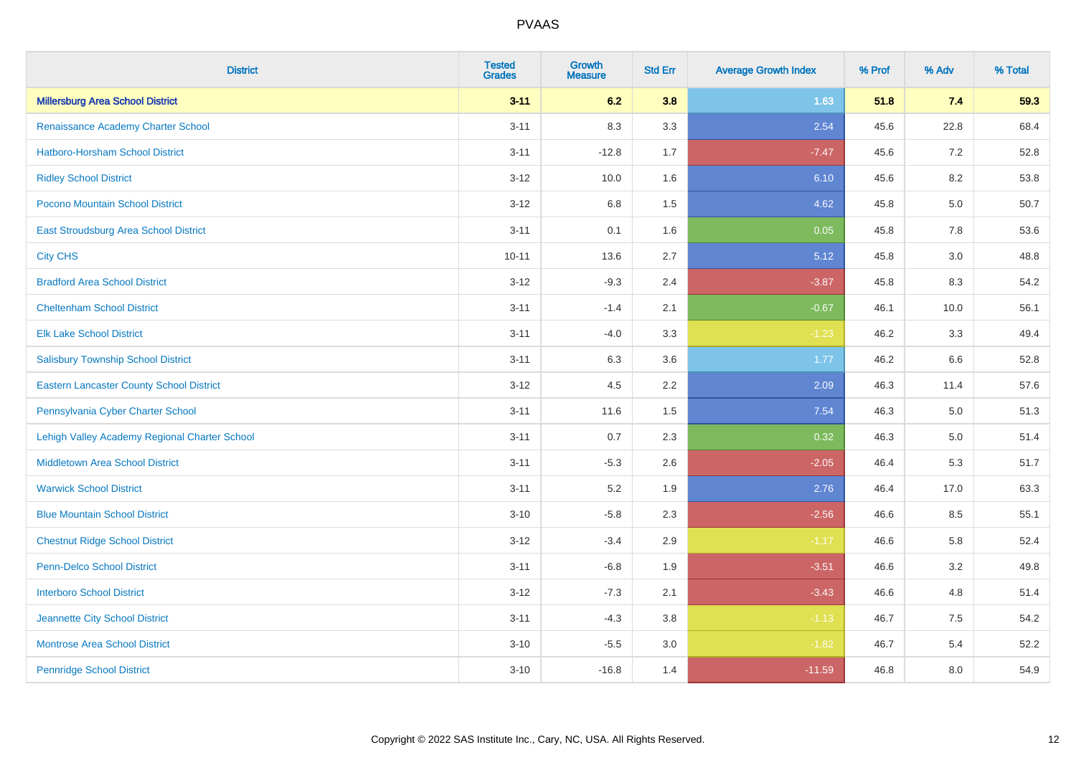| <b>District</b>                                 | <b>Tested</b><br><b>Grades</b> | <b>Growth</b><br><b>Measure</b> | <b>Std Err</b> | <b>Average Growth Index</b> | % Prof | % Adv | % Total |
|-------------------------------------------------|--------------------------------|---------------------------------|----------------|-----------------------------|--------|-------|---------|
| <b>Millersburg Area School District</b>         | $3 - 11$                       | 6.2                             | 3.8            | 1.63                        | 51.8   | 7.4   | 59.3    |
| Renaissance Academy Charter School              | $3 - 11$                       | 8.3                             | 3.3            | 2.54                        | 45.6   | 22.8  | 68.4    |
| <b>Hatboro-Horsham School District</b>          | $3 - 11$                       | $-12.8$                         | 1.7            | $-7.47$                     | 45.6   | 7.2   | 52.8    |
| <b>Ridley School District</b>                   | $3 - 12$                       | 10.0                            | 1.6            | 6.10                        | 45.6   | 8.2   | 53.8    |
| Pocono Mountain School District                 | $3 - 12$                       | 6.8                             | 1.5            | 4.62                        | 45.8   | 5.0   | 50.7    |
| <b>East Stroudsburg Area School District</b>    | $3 - 11$                       | 0.1                             | 1.6            | 0.05                        | 45.8   | 7.8   | 53.6    |
| <b>City CHS</b>                                 | $10 - 11$                      | 13.6                            | 2.7            | 5.12                        | 45.8   | 3.0   | 48.8    |
| <b>Bradford Area School District</b>            | $3 - 12$                       | $-9.3$                          | 2.4            | $-3.87$                     | 45.8   | 8.3   | 54.2    |
| <b>Cheltenham School District</b>               | $3 - 11$                       | $-1.4$                          | 2.1            | $-0.67$                     | 46.1   | 10.0  | 56.1    |
| <b>Elk Lake School District</b>                 | $3 - 11$                       | $-4.0$                          | 3.3            | $-1.23$                     | 46.2   | 3.3   | 49.4    |
| <b>Salisbury Township School District</b>       | $3 - 11$                       | 6.3                             | 3.6            | 1.77                        | 46.2   | 6.6   | 52.8    |
| <b>Eastern Lancaster County School District</b> | $3 - 12$                       | 4.5                             | 2.2            | 2.09                        | 46.3   | 11.4  | 57.6    |
| Pennsylvania Cyber Charter School               | $3 - 11$                       | 11.6                            | 1.5            | 7.54                        | 46.3   | 5.0   | 51.3    |
| Lehigh Valley Academy Regional Charter School   | $3 - 11$                       | $0.7\,$                         | 2.3            | 0.32                        | 46.3   | 5.0   | 51.4    |
| <b>Middletown Area School District</b>          | $3 - 11$                       | $-5.3$                          | 2.6            | $-2.05$                     | 46.4   | 5.3   | 51.7    |
| <b>Warwick School District</b>                  | $3 - 11$                       | 5.2                             | 1.9            | 2.76                        | 46.4   | 17.0  | 63.3    |
| <b>Blue Mountain School District</b>            | $3 - 10$                       | $-5.8$                          | 2.3            | $-2.56$                     | 46.6   | 8.5   | 55.1    |
| <b>Chestnut Ridge School District</b>           | $3 - 12$                       | $-3.4$                          | 2.9            | $-1.17$                     | 46.6   | 5.8   | 52.4    |
| Penn-Delco School District                      | $3 - 11$                       | $-6.8$                          | 1.9            | $-3.51$                     | 46.6   | 3.2   | 49.8    |
| <b>Interboro School District</b>                | $3 - 12$                       | $-7.3$                          | 2.1            | $-3.43$                     | 46.6   | 4.8   | 51.4    |
| Jeannette City School District                  | $3 - 11$                       | $-4.3$                          | 3.8            | $-1.13$                     | 46.7   | 7.5   | 54.2    |
| <b>Montrose Area School District</b>            | $3 - 10$                       | $-5.5$                          | $3.0\,$        | $-1.82$                     | 46.7   | 5.4   | 52.2    |
| <b>Pennridge School District</b>                | $3 - 10$                       | $-16.8$                         | 1.4            | $-11.59$                    | 46.8   | 8.0   | 54.9    |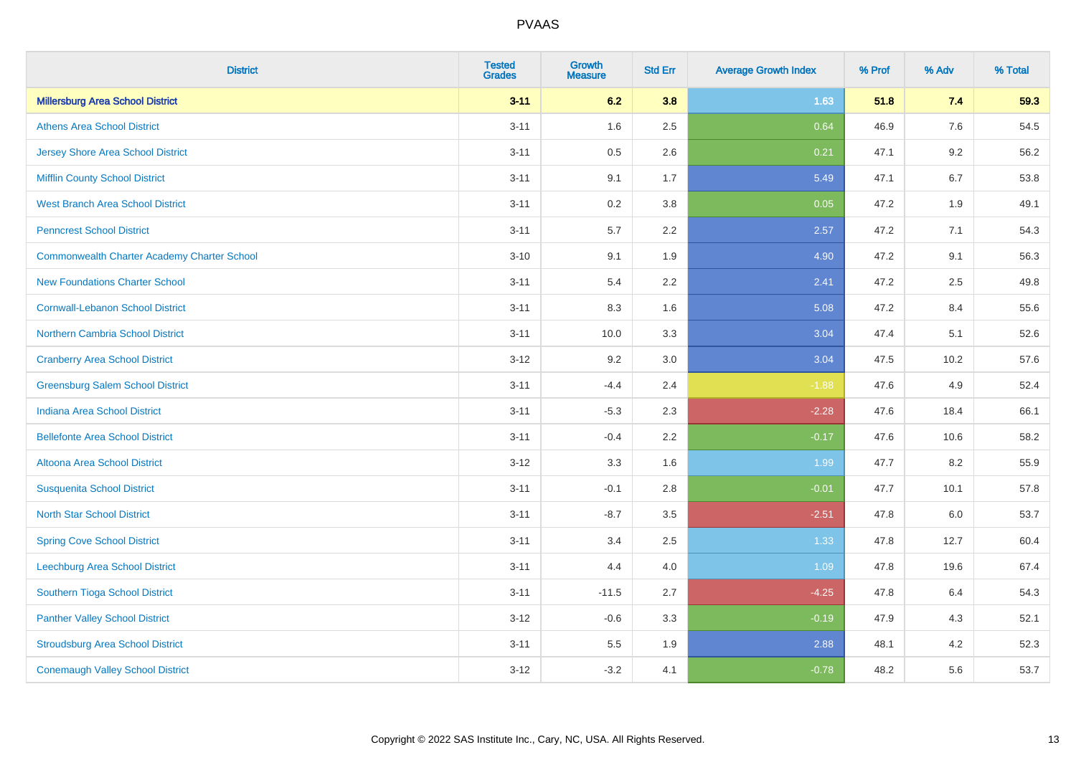| <b>District</b>                                    | <b>Tested</b><br><b>Grades</b> | Growth<br><b>Measure</b> | <b>Std Err</b> | <b>Average Growth Index</b> | % Prof | % Adv   | % Total |
|----------------------------------------------------|--------------------------------|--------------------------|----------------|-----------------------------|--------|---------|---------|
| <b>Millersburg Area School District</b>            | $3 - 11$                       | 6.2                      | 3.8            | 1.63                        | 51.8   | 7.4     | 59.3    |
| <b>Athens Area School District</b>                 | $3 - 11$                       | 1.6                      | 2.5            | 0.64                        | 46.9   | $7.6\,$ | 54.5    |
| <b>Jersey Shore Area School District</b>           | $3 - 11$                       | 0.5                      | 2.6            | 0.21                        | 47.1   | 9.2     | 56.2    |
| <b>Mifflin County School District</b>              | $3 - 11$                       | 9.1                      | 1.7            | 5.49                        | 47.1   | 6.7     | 53.8    |
| <b>West Branch Area School District</b>            | $3 - 11$                       | 0.2                      | 3.8            | 0.05                        | 47.2   | 1.9     | 49.1    |
| <b>Penncrest School District</b>                   | $3 - 11$                       | 5.7                      | 2.2            | 2.57                        | 47.2   | 7.1     | 54.3    |
| <b>Commonwealth Charter Academy Charter School</b> | $3 - 10$                       | 9.1                      | 1.9            | 4.90                        | 47.2   | 9.1     | 56.3    |
| <b>New Foundations Charter School</b>              | $3 - 11$                       | 5.4                      | 2.2            | 2.41                        | 47.2   | 2.5     | 49.8    |
| <b>Cornwall-Lebanon School District</b>            | $3 - 11$                       | 8.3                      | 1.6            | 5.08                        | 47.2   | 8.4     | 55.6    |
| <b>Northern Cambria School District</b>            | $3 - 11$                       | 10.0                     | 3.3            | 3.04                        | 47.4   | 5.1     | 52.6    |
| <b>Cranberry Area School District</b>              | $3 - 12$                       | 9.2                      | 3.0            | 3.04                        | 47.5   | 10.2    | 57.6    |
| <b>Greensburg Salem School District</b>            | $3 - 11$                       | $-4.4$                   | 2.4            | $-1.88$                     | 47.6   | 4.9     | 52.4    |
| <b>Indiana Area School District</b>                | $3 - 11$                       | $-5.3$                   | 2.3            | $-2.28$                     | 47.6   | 18.4    | 66.1    |
| <b>Bellefonte Area School District</b>             | $3 - 11$                       | $-0.4$                   | 2.2            | $-0.17$                     | 47.6   | 10.6    | 58.2    |
| Altoona Area School District                       | $3 - 12$                       | 3.3                      | 1.6            | 1.99                        | 47.7   | 8.2     | 55.9    |
| <b>Susquenita School District</b>                  | $3 - 11$                       | $-0.1$                   | 2.8            | $-0.01$                     | 47.7   | 10.1    | 57.8    |
| <b>North Star School District</b>                  | $3 - 11$                       | $-8.7$                   | 3.5            | $-2.51$                     | 47.8   | 6.0     | 53.7    |
| <b>Spring Cove School District</b>                 | $3 - 11$                       | 3.4                      | 2.5            | 1.33                        | 47.8   | 12.7    | 60.4    |
| <b>Leechburg Area School District</b>              | $3 - 11$                       | 4.4                      | 4.0            | 1.09                        | 47.8   | 19.6    | 67.4    |
| Southern Tioga School District                     | $3 - 11$                       | $-11.5$                  | 2.7            | $-4.25$                     | 47.8   | 6.4     | 54.3    |
| <b>Panther Valley School District</b>              | $3 - 12$                       | $-0.6$                   | 3.3            | $-0.19$                     | 47.9   | 4.3     | 52.1    |
| <b>Stroudsburg Area School District</b>            | $3 - 11$                       | 5.5                      | 1.9            | 2.88                        | 48.1   | 4.2     | 52.3    |
| <b>Conemaugh Valley School District</b>            | $3 - 12$                       | $-3.2$                   | 4.1            | $-0.78$                     | 48.2   | 5.6     | 53.7    |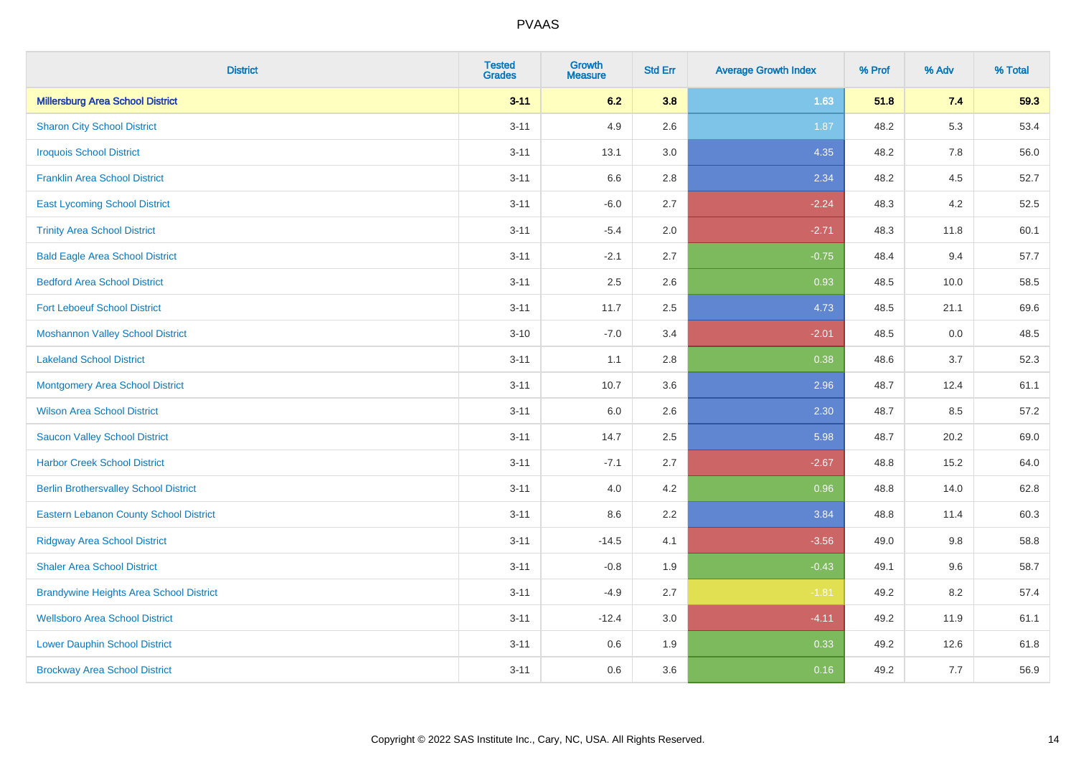| <b>District</b>                                | <b>Tested</b><br><b>Grades</b> | Growth<br><b>Measure</b> | <b>Std Err</b> | <b>Average Growth Index</b> | % Prof | % Adv | % Total |
|------------------------------------------------|--------------------------------|--------------------------|----------------|-----------------------------|--------|-------|---------|
| <b>Millersburg Area School District</b>        | $3 - 11$                       | 6.2                      | 3.8            | 1.63                        | 51.8   | 7.4   | 59.3    |
| <b>Sharon City School District</b>             | $3 - 11$                       | 4.9                      | 2.6            | 1.87                        | 48.2   | 5.3   | 53.4    |
| <b>Iroquois School District</b>                | $3 - 11$                       | 13.1                     | 3.0            | 4.35                        | 48.2   | 7.8   | 56.0    |
| <b>Franklin Area School District</b>           | $3 - 11$                       | 6.6                      | 2.8            | 2.34                        | 48.2   | 4.5   | 52.7    |
| <b>East Lycoming School District</b>           | $3 - 11$                       | $-6.0$                   | 2.7            | $-2.24$                     | 48.3   | 4.2   | 52.5    |
| <b>Trinity Area School District</b>            | $3 - 11$                       | $-5.4$                   | 2.0            | $-2.71$                     | 48.3   | 11.8  | 60.1    |
| <b>Bald Eagle Area School District</b>         | $3 - 11$                       | $-2.1$                   | 2.7            | $-0.75$                     | 48.4   | 9.4   | 57.7    |
| <b>Bedford Area School District</b>            | $3 - 11$                       | 2.5                      | 2.6            | 0.93                        | 48.5   | 10.0  | 58.5    |
| <b>Fort Leboeuf School District</b>            | $3 - 11$                       | 11.7                     | 2.5            | 4.73                        | 48.5   | 21.1  | 69.6    |
| <b>Moshannon Valley School District</b>        | $3 - 10$                       | $-7.0$                   | 3.4            | $-2.01$                     | 48.5   | 0.0   | 48.5    |
| <b>Lakeland School District</b>                | $3 - 11$                       | 1.1                      | 2.8            | 0.38                        | 48.6   | 3.7   | 52.3    |
| <b>Montgomery Area School District</b>         | $3 - 11$                       | 10.7                     | 3.6            | 2.96                        | 48.7   | 12.4  | 61.1    |
| <b>Wilson Area School District</b>             | $3 - 11$                       | 6.0                      | 2.6            | 2.30                        | 48.7   | 8.5   | 57.2    |
| <b>Saucon Valley School District</b>           | $3 - 11$                       | 14.7                     | 2.5            | 5.98                        | 48.7   | 20.2  | 69.0    |
| <b>Harbor Creek School District</b>            | $3 - 11$                       | $-7.1$                   | 2.7            | $-2.67$                     | 48.8   | 15.2  | 64.0    |
| <b>Berlin Brothersvalley School District</b>   | $3 - 11$                       | 4.0                      | 4.2            | 0.96                        | 48.8   | 14.0  | 62.8    |
| <b>Eastern Lebanon County School District</b>  | $3 - 11$                       | 8.6                      | 2.2            | 3.84                        | 48.8   | 11.4  | 60.3    |
| <b>Ridgway Area School District</b>            | $3 - 11$                       | $-14.5$                  | 4.1            | $-3.56$                     | 49.0   | 9.8   | 58.8    |
| <b>Shaler Area School District</b>             | $3 - 11$                       | $-0.8$                   | 1.9            | $-0.43$                     | 49.1   | 9.6   | 58.7    |
| <b>Brandywine Heights Area School District</b> | $3 - 11$                       | $-4.9$                   | 2.7            | $-1.81$                     | 49.2   | 8.2   | 57.4    |
| <b>Wellsboro Area School District</b>          | $3 - 11$                       | $-12.4$                  | 3.0            | $-4.11$                     | 49.2   | 11.9  | 61.1    |
| <b>Lower Dauphin School District</b>           | $3 - 11$                       | 0.6                      | 1.9            | 0.33                        | 49.2   | 12.6  | 61.8    |
| <b>Brockway Area School District</b>           | $3 - 11$                       | 0.6                      | 3.6            | 0.16                        | 49.2   | 7.7   | 56.9    |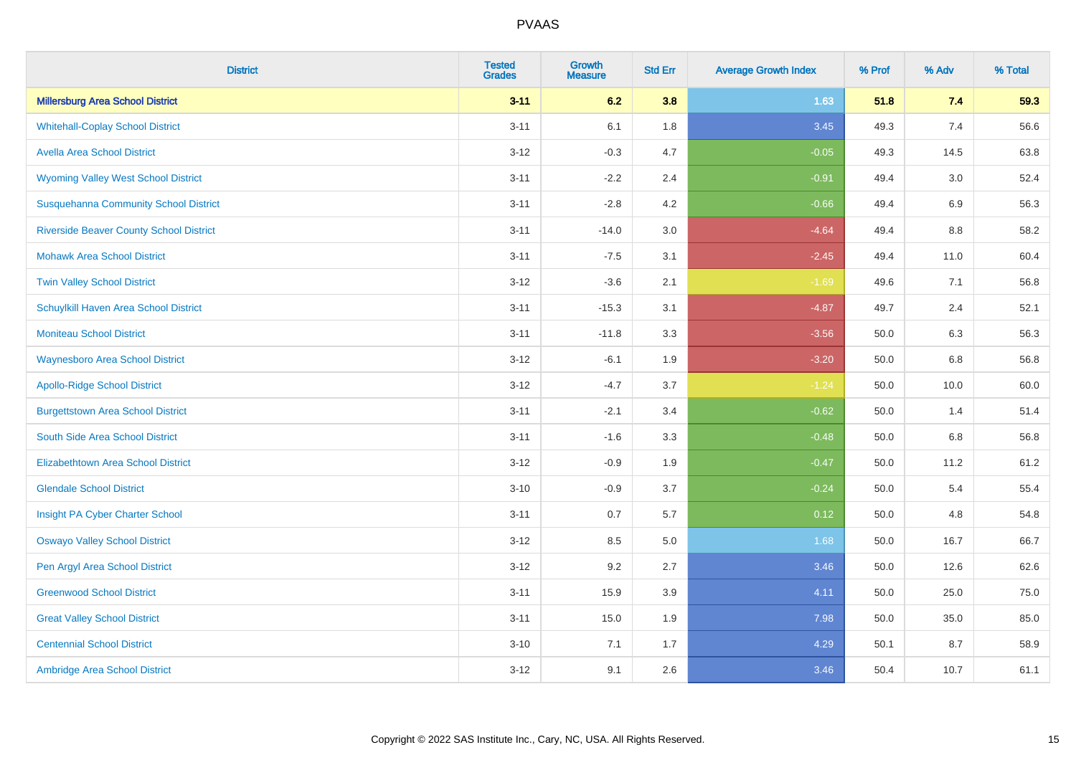| <b>District</b>                                | <b>Tested</b><br><b>Grades</b> | <b>Growth</b><br><b>Measure</b> | <b>Std Err</b> | <b>Average Growth Index</b> | % Prof | % Adv | % Total |
|------------------------------------------------|--------------------------------|---------------------------------|----------------|-----------------------------|--------|-------|---------|
| <b>Millersburg Area School District</b>        | $3 - 11$                       | 6.2                             | 3.8            | 1.63                        | 51.8   | 7.4   | 59.3    |
| <b>Whitehall-Coplay School District</b>        | $3 - 11$                       | 6.1                             | 1.8            | 3.45                        | 49.3   | 7.4   | 56.6    |
| <b>Avella Area School District</b>             | $3 - 12$                       | $-0.3$                          | 4.7            | $-0.05$                     | 49.3   | 14.5  | 63.8    |
| <b>Wyoming Valley West School District</b>     | $3 - 11$                       | $-2.2$                          | 2.4            | $-0.91$                     | 49.4   | 3.0   | 52.4    |
| <b>Susquehanna Community School District</b>   | $3 - 11$                       | $-2.8$                          | 4.2            | $-0.66$                     | 49.4   | 6.9   | 56.3    |
| <b>Riverside Beaver County School District</b> | $3 - 11$                       | $-14.0$                         | 3.0            | $-4.64$                     | 49.4   | 8.8   | 58.2    |
| <b>Mohawk Area School District</b>             | $3 - 11$                       | $-7.5$                          | 3.1            | $-2.45$                     | 49.4   | 11.0  | 60.4    |
| <b>Twin Valley School District</b>             | $3 - 12$                       | $-3.6$                          | 2.1            | $-1.69$                     | 49.6   | 7.1   | 56.8    |
| Schuylkill Haven Area School District          | $3 - 11$                       | $-15.3$                         | 3.1            | $-4.87$                     | 49.7   | 2.4   | 52.1    |
| <b>Moniteau School District</b>                | $3 - 11$                       | $-11.8$                         | 3.3            | $-3.56$                     | 50.0   | 6.3   | 56.3    |
| <b>Waynesboro Area School District</b>         | $3 - 12$                       | $-6.1$                          | 1.9            | $-3.20$                     | 50.0   | 6.8   | 56.8    |
| <b>Apollo-Ridge School District</b>            | $3 - 12$                       | $-4.7$                          | 3.7            | $-1.24$                     | 50.0   | 10.0  | 60.0    |
| <b>Burgettstown Area School District</b>       | $3 - 11$                       | $-2.1$                          | 3.4            | $-0.62$                     | 50.0   | 1.4   | 51.4    |
| South Side Area School District                | $3 - 11$                       | $-1.6$                          | 3.3            | $-0.48$                     | 50.0   | 6.8   | 56.8    |
| <b>Elizabethtown Area School District</b>      | $3 - 12$                       | $-0.9$                          | 1.9            | $-0.47$                     | 50.0   | 11.2  | 61.2    |
| <b>Glendale School District</b>                | $3 - 10$                       | $-0.9$                          | 3.7            | $-0.24$                     | 50.0   | 5.4   | 55.4    |
| Insight PA Cyber Charter School                | $3 - 11$                       | 0.7                             | 5.7            | 0.12                        | 50.0   | 4.8   | 54.8    |
| <b>Oswayo Valley School District</b>           | $3 - 12$                       | 8.5                             | 5.0            | 1.68                        | 50.0   | 16.7  | 66.7    |
| Pen Argyl Area School District                 | $3 - 12$                       | 9.2                             | 2.7            | 3.46                        | 50.0   | 12.6  | 62.6    |
| <b>Greenwood School District</b>               | $3 - 11$                       | 15.9                            | 3.9            | 4.11                        | 50.0   | 25.0  | 75.0    |
| <b>Great Valley School District</b>            | $3 - 11$                       | 15.0                            | 1.9            | 7.98                        | 50.0   | 35.0  | 85.0    |
| <b>Centennial School District</b>              | $3 - 10$                       | 7.1                             | 1.7            | 4.29                        | 50.1   | 8.7   | 58.9    |
| Ambridge Area School District                  | $3 - 12$                       | 9.1                             | 2.6            | 3.46                        | 50.4   | 10.7  | 61.1    |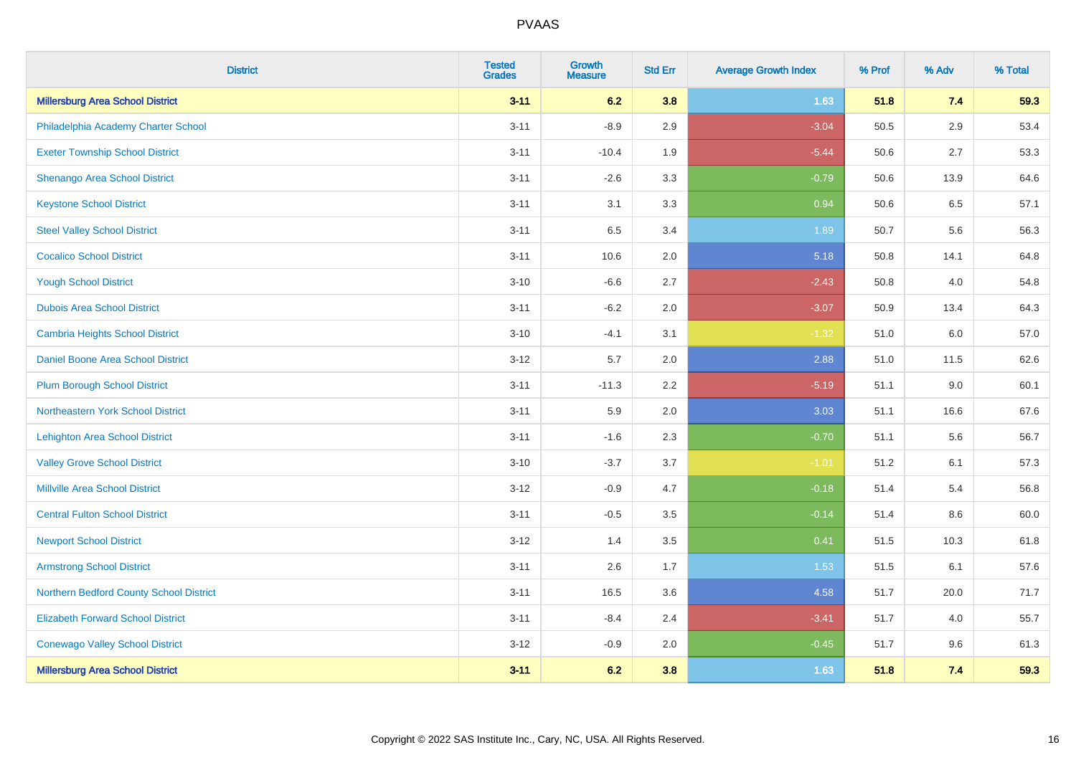| <b>District</b>                          | <b>Tested</b><br><b>Grades</b> | Growth<br><b>Measure</b> | <b>Std Err</b> | <b>Average Growth Index</b> | % Prof | % Adv | % Total |
|------------------------------------------|--------------------------------|--------------------------|----------------|-----------------------------|--------|-------|---------|
| <b>Millersburg Area School District</b>  | $3 - 11$                       | 6.2                      | 3.8            | 1.63                        | 51.8   | 7.4   | 59.3    |
| Philadelphia Academy Charter School      | $3 - 11$                       | $-8.9$                   | 2.9            | $-3.04$                     | 50.5   | 2.9   | 53.4    |
| <b>Exeter Township School District</b>   | $3 - 11$                       | $-10.4$                  | 1.9            | $-5.44$                     | 50.6   | 2.7   | 53.3    |
| Shenango Area School District            | $3 - 11$                       | $-2.6$                   | 3.3            | $-0.79$                     | 50.6   | 13.9  | 64.6    |
| <b>Keystone School District</b>          | $3 - 11$                       | 3.1                      | 3.3            | 0.94                        | 50.6   | 6.5   | 57.1    |
| <b>Steel Valley School District</b>      | $3 - 11$                       | 6.5                      | 3.4            | 1.89                        | 50.7   | 5.6   | 56.3    |
| <b>Cocalico School District</b>          | $3 - 11$                       | 10.6                     | 2.0            | 5.18                        | 50.8   | 14.1  | 64.8    |
| <b>Yough School District</b>             | $3 - 10$                       | $-6.6$                   | 2.7            | $-2.43$                     | 50.8   | 4.0   | 54.8    |
| <b>Dubois Area School District</b>       | $3 - 11$                       | $-6.2$                   | 2.0            | $-3.07$                     | 50.9   | 13.4  | 64.3    |
| <b>Cambria Heights School District</b>   | $3 - 10$                       | $-4.1$                   | 3.1            | $-1.32$                     | 51.0   | 6.0   | 57.0    |
| Daniel Boone Area School District        | $3 - 12$                       | 5.7                      | 2.0            | 2.88                        | 51.0   | 11.5  | 62.6    |
| <b>Plum Borough School District</b>      | $3 - 11$                       | $-11.3$                  | 2.2            | $-5.19$                     | 51.1   | 9.0   | 60.1    |
| Northeastern York School District        | $3 - 11$                       | 5.9                      | 2.0            | 3.03                        | 51.1   | 16.6  | 67.6    |
| <b>Lehighton Area School District</b>    | $3 - 11$                       | $-1.6$                   | 2.3            | $-0.70$                     | 51.1   | 5.6   | 56.7    |
| <b>Valley Grove School District</b>      | $3 - 10$                       | $-3.7$                   | 3.7            | $-1.01$                     | 51.2   | 6.1   | 57.3    |
| <b>Millville Area School District</b>    | $3 - 12$                       | $-0.9$                   | 4.7            | $-0.18$                     | 51.4   | 5.4   | 56.8    |
| <b>Central Fulton School District</b>    | $3 - 11$                       | $-0.5$                   | 3.5            | $-0.14$                     | 51.4   | 8.6   | 60.0    |
| <b>Newport School District</b>           | $3 - 12$                       | 1.4                      | 3.5            | 0.41                        | 51.5   | 10.3  | 61.8    |
| <b>Armstrong School District</b>         | $3 - 11$                       | 2.6                      | 1.7            | 1.53                        | 51.5   | 6.1   | 57.6    |
| Northern Bedford County School District  | $3 - 11$                       | 16.5                     | 3.6            | 4.58                        | 51.7   | 20.0  | 71.7    |
| <b>Elizabeth Forward School District</b> | $3 - 11$                       | $-8.4$                   | 2.4            | $-3.41$                     | 51.7   | 4.0   | 55.7    |
| <b>Conewago Valley School District</b>   | $3 - 12$                       | $-0.9$                   | 2.0            | $-0.45$                     | 51.7   | 9.6   | 61.3    |
| <b>Millersburg Area School District</b>  | $3 - 11$                       | 6.2                      | 3.8            | 1.63                        | 51.8   | 7.4   | 59.3    |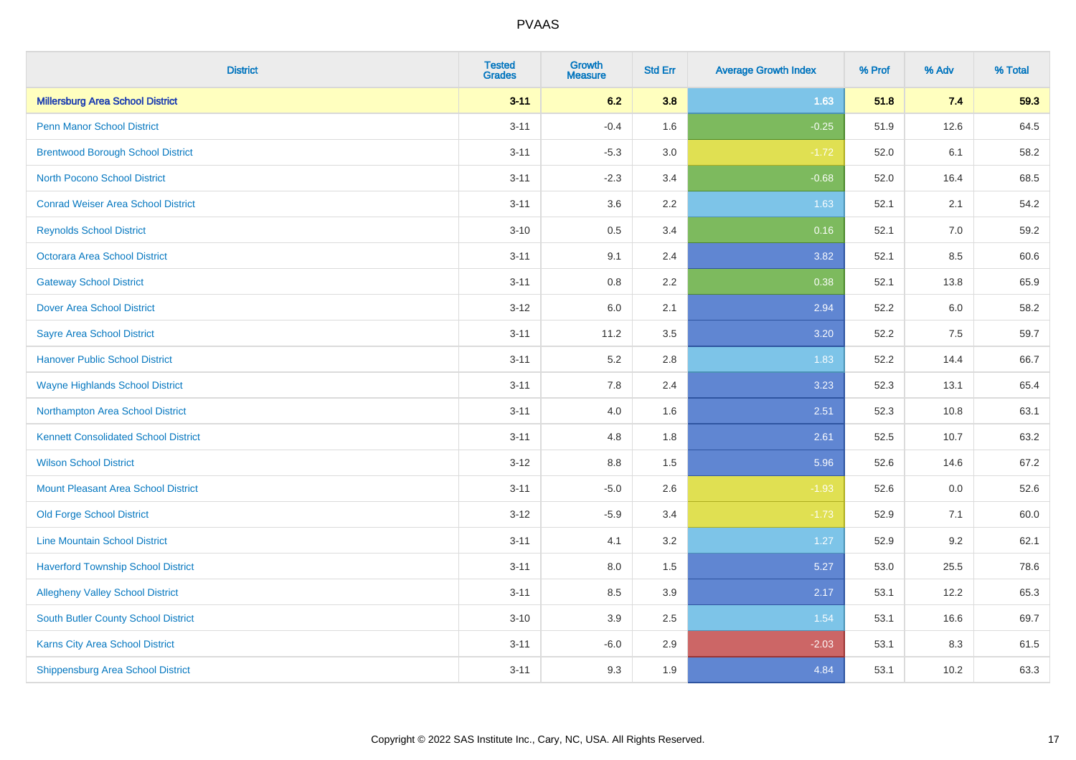| <b>District</b>                             | <b>Tested</b><br><b>Grades</b> | <b>Growth</b><br><b>Measure</b> | <b>Std Err</b> | <b>Average Growth Index</b> | % Prof | % Adv | % Total |
|---------------------------------------------|--------------------------------|---------------------------------|----------------|-----------------------------|--------|-------|---------|
| <b>Millersburg Area School District</b>     | $3 - 11$                       | 6.2                             | 3.8            | 1.63                        | 51.8   | 7.4   | 59.3    |
| <b>Penn Manor School District</b>           | $3 - 11$                       | $-0.4$                          | 1.6            | $-0.25$                     | 51.9   | 12.6  | 64.5    |
| <b>Brentwood Borough School District</b>    | $3 - 11$                       | $-5.3$                          | 3.0            | $-1.72$                     | 52.0   | 6.1   | 58.2    |
| <b>North Pocono School District</b>         | $3 - 11$                       | $-2.3$                          | 3.4            | $-0.68$                     | 52.0   | 16.4  | 68.5    |
| <b>Conrad Weiser Area School District</b>   | $3 - 11$                       | 3.6                             | 2.2            | 1.63                        | 52.1   | 2.1   | 54.2    |
| <b>Reynolds School District</b>             | $3 - 10$                       | $0.5\,$                         | 3.4            | 0.16                        | 52.1   | 7.0   | 59.2    |
| Octorara Area School District               | $3 - 11$                       | 9.1                             | 2.4            | 3.82                        | 52.1   | 8.5   | 60.6    |
| <b>Gateway School District</b>              | $3 - 11$                       | 0.8                             | 2.2            | 0.38                        | 52.1   | 13.8  | 65.9    |
| <b>Dover Area School District</b>           | $3 - 12$                       | 6.0                             | 2.1            | 2.94                        | 52.2   | 6.0   | 58.2    |
| <b>Sayre Area School District</b>           | $3 - 11$                       | 11.2                            | 3.5            | 3.20                        | 52.2   | 7.5   | 59.7    |
| <b>Hanover Public School District</b>       | $3 - 11$                       | 5.2                             | 2.8            | 1.83                        | 52.2   | 14.4  | 66.7    |
| <b>Wayne Highlands School District</b>      | $3 - 11$                       | 7.8                             | 2.4            | 3.23                        | 52.3   | 13.1  | 65.4    |
| Northampton Area School District            | $3 - 11$                       | 4.0                             | 1.6            | 2.51                        | 52.3   | 10.8  | 63.1    |
| <b>Kennett Consolidated School District</b> | $3 - 11$                       | 4.8                             | 1.8            | 2.61                        | 52.5   | 10.7  | 63.2    |
| <b>Wilson School District</b>               | $3 - 12$                       | $8.8\,$                         | 1.5            | 5.96                        | 52.6   | 14.6  | 67.2    |
| <b>Mount Pleasant Area School District</b>  | $3 - 11$                       | $-5.0$                          | 2.6            | $-1.93$                     | 52.6   | 0.0   | 52.6    |
| <b>Old Forge School District</b>            | $3 - 12$                       | $-5.9$                          | 3.4            | $-1.73$                     | 52.9   | 7.1   | 60.0    |
| <b>Line Mountain School District</b>        | $3 - 11$                       | 4.1                             | 3.2            | 1.27                        | 52.9   | 9.2   | 62.1    |
| <b>Haverford Township School District</b>   | $3 - 11$                       | 8.0                             | 1.5            | 5.27                        | 53.0   | 25.5  | 78.6    |
| <b>Allegheny Valley School District</b>     | $3 - 11$                       | 8.5                             | 3.9            | 2.17                        | 53.1   | 12.2  | 65.3    |
| <b>South Butler County School District</b>  | $3 - 10$                       | 3.9                             | 2.5            | 1.54                        | 53.1   | 16.6  | 69.7    |
| Karns City Area School District             | $3 - 11$                       | $-6.0$                          | 2.9            | $-2.03$                     | 53.1   | 8.3   | 61.5    |
| <b>Shippensburg Area School District</b>    | $3 - 11$                       | 9.3                             | 1.9            | 4.84                        | 53.1   | 10.2  | 63.3    |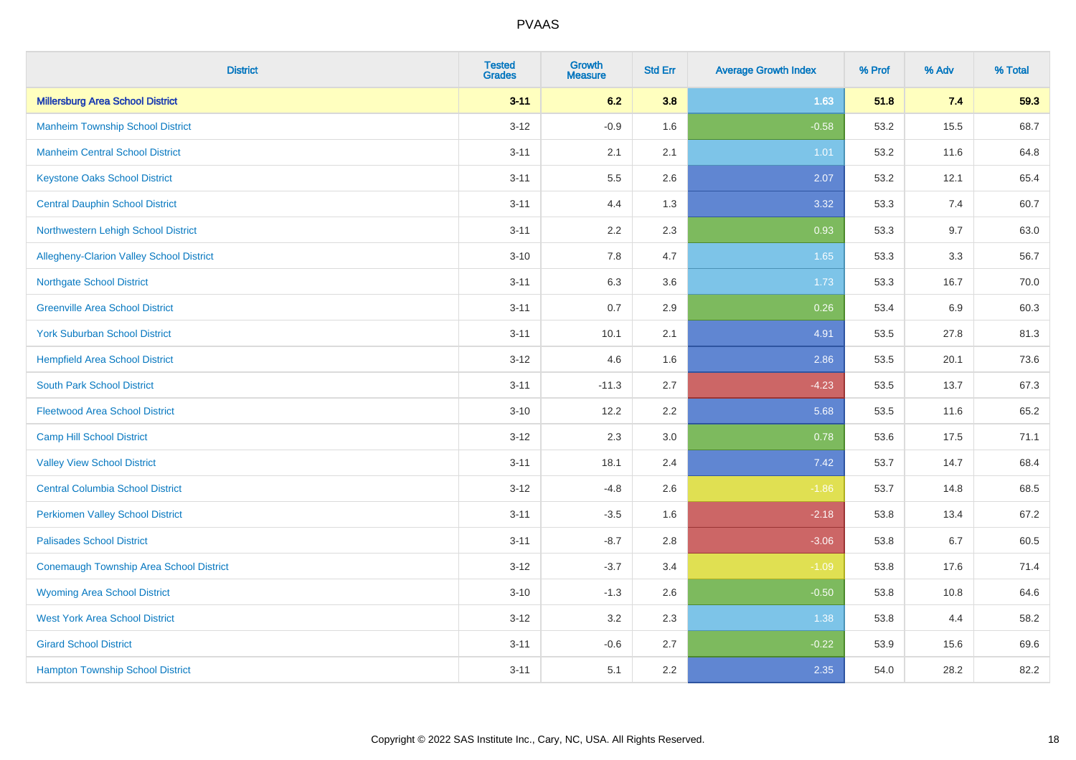| <b>District</b>                                | <b>Tested</b><br><b>Grades</b> | Growth<br><b>Measure</b> | <b>Std Err</b> | <b>Average Growth Index</b> | % Prof | % Adv   | % Total |
|------------------------------------------------|--------------------------------|--------------------------|----------------|-----------------------------|--------|---------|---------|
| <b>Millersburg Area School District</b>        | $3 - 11$                       | 6.2                      | 3.8            | 1.63                        | 51.8   | 7.4     | 59.3    |
| <b>Manheim Township School District</b>        | $3 - 12$                       | $-0.9$                   | 1.6            | $-0.58$                     | 53.2   | 15.5    | 68.7    |
| <b>Manheim Central School District</b>         | $3 - 11$                       | 2.1                      | 2.1            | 1.01                        | 53.2   | 11.6    | 64.8    |
| <b>Keystone Oaks School District</b>           | $3 - 11$                       | 5.5                      | 2.6            | 2.07                        | 53.2   | 12.1    | 65.4    |
| <b>Central Dauphin School District</b>         | $3 - 11$                       | 4.4                      | 1.3            | 3.32                        | 53.3   | 7.4     | 60.7    |
| Northwestern Lehigh School District            | $3 - 11$                       | 2.2                      | 2.3            | 0.93                        | 53.3   | 9.7     | 63.0    |
| Allegheny-Clarion Valley School District       | $3 - 10$                       | 7.8                      | 4.7            | 1.65                        | 53.3   | 3.3     | 56.7    |
| <b>Northgate School District</b>               | $3 - 11$                       | 6.3                      | 3.6            | 1.73                        | 53.3   | 16.7    | 70.0    |
| <b>Greenville Area School District</b>         | $3 - 11$                       | 0.7                      | 2.9            | 0.26                        | 53.4   | $6.9\,$ | 60.3    |
| <b>York Suburban School District</b>           | $3 - 11$                       | 10.1                     | 2.1            | 4.91                        | 53.5   | 27.8    | 81.3    |
| <b>Hempfield Area School District</b>          | $3 - 12$                       | 4.6                      | 1.6            | 2.86                        | 53.5   | 20.1    | 73.6    |
| <b>South Park School District</b>              | $3 - 11$                       | $-11.3$                  | 2.7            | $-4.23$                     | 53.5   | 13.7    | 67.3    |
| <b>Fleetwood Area School District</b>          | $3 - 10$                       | 12.2                     | 2.2            | 5.68                        | 53.5   | 11.6    | 65.2    |
| <b>Camp Hill School District</b>               | $3 - 12$                       | 2.3                      | 3.0            | 0.78                        | 53.6   | 17.5    | 71.1    |
| <b>Valley View School District</b>             | $3 - 11$                       | 18.1                     | 2.4            | 7.42                        | 53.7   | 14.7    | 68.4    |
| <b>Central Columbia School District</b>        | $3 - 12$                       | $-4.8$                   | 2.6            | $-1.86$                     | 53.7   | 14.8    | 68.5    |
| <b>Perkiomen Valley School District</b>        | $3 - 11$                       | $-3.5$                   | 1.6            | $-2.18$                     | 53.8   | 13.4    | 67.2    |
| <b>Palisades School District</b>               | $3 - 11$                       | $-8.7$                   | 2.8            | $-3.06$                     | 53.8   | 6.7     | 60.5    |
| <b>Conemaugh Township Area School District</b> | $3 - 12$                       | $-3.7$                   | 3.4            | $-1.09$                     | 53.8   | 17.6    | 71.4    |
| <b>Wyoming Area School District</b>            | $3 - 10$                       | $-1.3$                   | 2.6            | $-0.50$                     | 53.8   | 10.8    | 64.6    |
| <b>West York Area School District</b>          | $3 - 12$                       | 3.2                      | 2.3            | 1.38                        | 53.8   | 4.4     | 58.2    |
| <b>Girard School District</b>                  | $3 - 11$                       | $-0.6$                   | 2.7            | $-0.22$                     | 53.9   | 15.6    | 69.6    |
| <b>Hampton Township School District</b>        | $3 - 11$                       | 5.1                      | 2.2            | 2.35                        | 54.0   | 28.2    | 82.2    |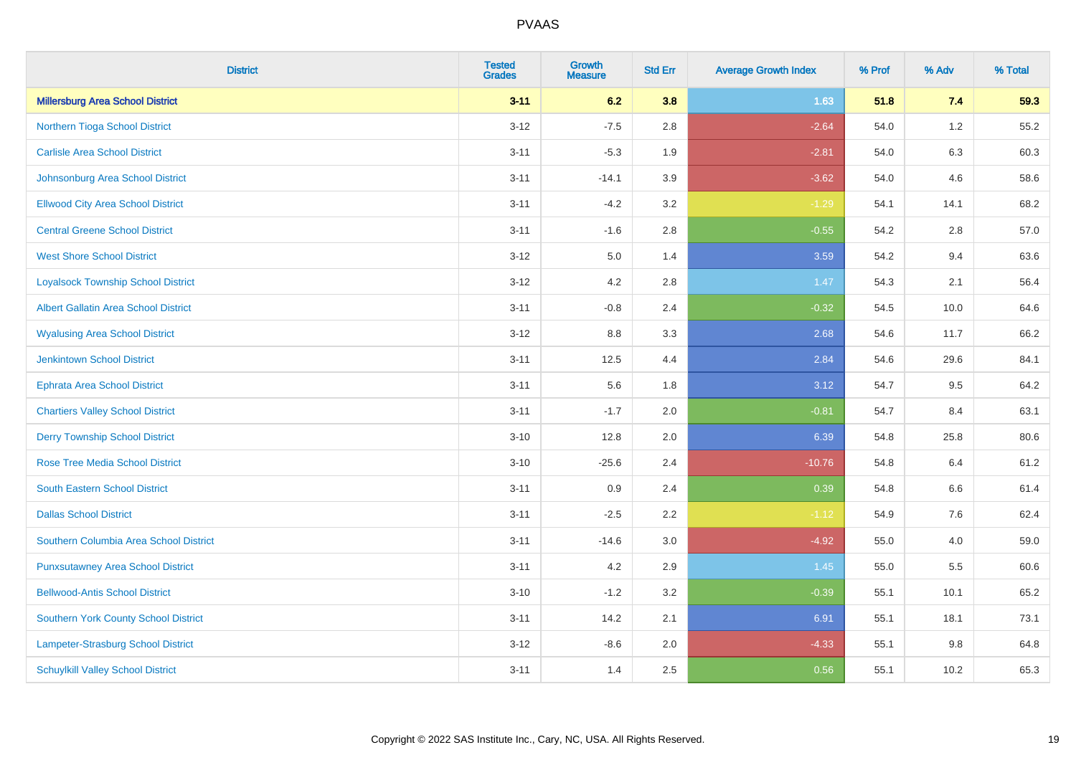| <b>District</b>                             | <b>Tested</b><br><b>Grades</b> | <b>Growth</b><br><b>Measure</b> | <b>Std Err</b> | <b>Average Growth Index</b> | % Prof | % Adv   | % Total |
|---------------------------------------------|--------------------------------|---------------------------------|----------------|-----------------------------|--------|---------|---------|
| <b>Millersburg Area School District</b>     | $3 - 11$                       | 6.2                             | 3.8            | 1.63                        | 51.8   | 7.4     | 59.3    |
| Northern Tioga School District              | $3 - 12$                       | $-7.5$                          | 2.8            | $-2.64$                     | 54.0   | $1.2\,$ | 55.2    |
| <b>Carlisle Area School District</b>        | $3 - 11$                       | $-5.3$                          | 1.9            | $-2.81$                     | 54.0   | 6.3     | 60.3    |
| Johnsonburg Area School District            | $3 - 11$                       | $-14.1$                         | 3.9            | $-3.62$                     | 54.0   | 4.6     | 58.6    |
| <b>Ellwood City Area School District</b>    | $3 - 11$                       | $-4.2$                          | 3.2            | $-1.29$                     | 54.1   | 14.1    | 68.2    |
| <b>Central Greene School District</b>       | $3 - 11$                       | $-1.6$                          | 2.8            | $-0.55$                     | 54.2   | 2.8     | 57.0    |
| <b>West Shore School District</b>           | $3 - 12$                       | $5.0\,$                         | 1.4            | 3.59                        | 54.2   | 9.4     | 63.6    |
| <b>Loyalsock Township School District</b>   | $3 - 12$                       | 4.2                             | 2.8            | 1.47                        | 54.3   | 2.1     | 56.4    |
| <b>Albert Gallatin Area School District</b> | $3 - 11$                       | $-0.8$                          | 2.4            | $-0.32$                     | 54.5   | 10.0    | 64.6    |
| <b>Wyalusing Area School District</b>       | $3 - 12$                       | 8.8                             | 3.3            | 2.68                        | 54.6   | 11.7    | 66.2    |
| <b>Jenkintown School District</b>           | $3 - 11$                       | 12.5                            | 4.4            | 2.84                        | 54.6   | 29.6    | 84.1    |
| <b>Ephrata Area School District</b>         | $3 - 11$                       | 5.6                             | 1.8            | 3.12                        | 54.7   | 9.5     | 64.2    |
| <b>Chartiers Valley School District</b>     | $3 - 11$                       | $-1.7$                          | 2.0            | $-0.81$                     | 54.7   | 8.4     | 63.1    |
| <b>Derry Township School District</b>       | $3 - 10$                       | 12.8                            | 2.0            | 6.39                        | 54.8   | 25.8    | 80.6    |
| <b>Rose Tree Media School District</b>      | $3 - 10$                       | $-25.6$                         | 2.4            | $-10.76$                    | 54.8   | 6.4     | 61.2    |
| <b>South Eastern School District</b>        | $3 - 11$                       | 0.9                             | 2.4            | 0.39                        | 54.8   | $6.6\,$ | 61.4    |
| <b>Dallas School District</b>               | $3 - 11$                       | $-2.5$                          | 2.2            | $-1.12$                     | 54.9   | 7.6     | 62.4    |
| Southern Columbia Area School District      | $3 - 11$                       | $-14.6$                         | 3.0            | $-4.92$                     | 55.0   | 4.0     | 59.0    |
| <b>Punxsutawney Area School District</b>    | $3 - 11$                       | 4.2                             | 2.9            | 1.45                        | 55.0   | 5.5     | 60.6    |
| <b>Bellwood-Antis School District</b>       | $3 - 10$                       | $-1.2$                          | 3.2            | $-0.39$                     | 55.1   | 10.1    | 65.2    |
| <b>Southern York County School District</b> | $3 - 11$                       | 14.2                            | 2.1            | 6.91                        | 55.1   | 18.1    | 73.1    |
| Lampeter-Strasburg School District          | $3 - 12$                       | $-8.6$                          | 2.0            | $-4.33$                     | 55.1   | 9.8     | 64.8    |
| <b>Schuylkill Valley School District</b>    | $3 - 11$                       | 1.4                             | 2.5            | 0.56                        | 55.1   | 10.2    | 65.3    |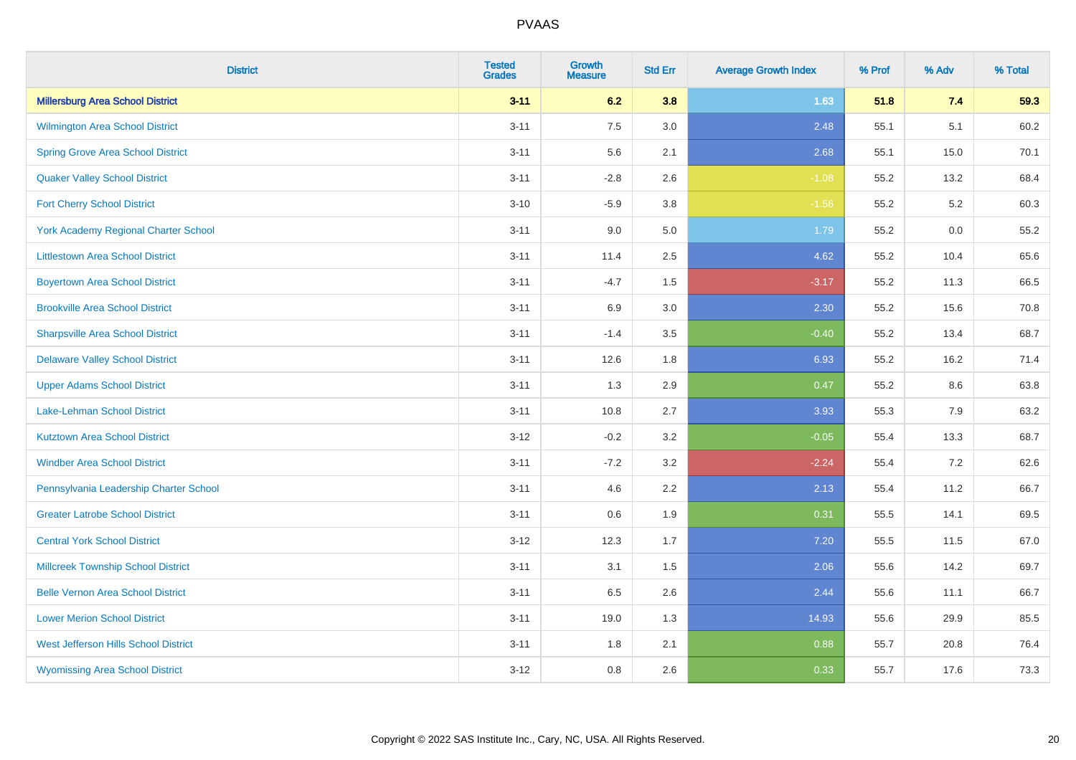| <b>District</b>                             | <b>Tested</b><br><b>Grades</b> | Growth<br><b>Measure</b> | <b>Std Err</b> | <b>Average Growth Index</b> | % Prof | % Adv   | % Total |
|---------------------------------------------|--------------------------------|--------------------------|----------------|-----------------------------|--------|---------|---------|
| <b>Millersburg Area School District</b>     | $3 - 11$                       | 6.2                      | 3.8            | 1.63                        | 51.8   | 7.4     | 59.3    |
| Wilmington Area School District             | $3 - 11$                       | 7.5                      | 3.0            | 2.48                        | 55.1   | 5.1     | 60.2    |
| <b>Spring Grove Area School District</b>    | $3 - 11$                       | 5.6                      | 2.1            | 2.68                        | 55.1   | 15.0    | 70.1    |
| <b>Quaker Valley School District</b>        | $3 - 11$                       | $-2.8$                   | 2.6            | $-1.08$                     | 55.2   | 13.2    | 68.4    |
| <b>Fort Cherry School District</b>          | $3 - 10$                       | $-5.9$                   | 3.8            | $-1.56$                     | 55.2   | 5.2     | 60.3    |
| <b>York Academy Regional Charter School</b> | $3 - 11$                       | 9.0                      | $5.0\,$        | 1.79                        | 55.2   | $0.0\,$ | 55.2    |
| <b>Littlestown Area School District</b>     | $3 - 11$                       | 11.4                     | 2.5            | 4.62                        | 55.2   | 10.4    | 65.6    |
| <b>Boyertown Area School District</b>       | $3 - 11$                       | $-4.7$                   | 1.5            | $-3.17$                     | 55.2   | 11.3    | 66.5    |
| <b>Brookville Area School District</b>      | $3 - 11$                       | 6.9                      | 3.0            | 2.30                        | 55.2   | 15.6    | 70.8    |
| <b>Sharpsville Area School District</b>     | $3 - 11$                       | $-1.4$                   | 3.5            | $-0.40$                     | 55.2   | 13.4    | 68.7    |
| <b>Delaware Valley School District</b>      | $3 - 11$                       | 12.6                     | 1.8            | 6.93                        | 55.2   | 16.2    | 71.4    |
| <b>Upper Adams School District</b>          | $3 - 11$                       | 1.3                      | 2.9            | 0.47                        | 55.2   | 8.6     | 63.8    |
| Lake-Lehman School District                 | $3 - 11$                       | 10.8                     | 2.7            | 3.93                        | 55.3   | 7.9     | 63.2    |
| <b>Kutztown Area School District</b>        | $3 - 12$                       | $-0.2$                   | 3.2            | $-0.05$                     | 55.4   | 13.3    | 68.7    |
| <b>Windber Area School District</b>         | $3 - 11$                       | $-7.2$                   | 3.2            | $-2.24$                     | 55.4   | 7.2     | 62.6    |
| Pennsylvania Leadership Charter School      | $3 - 11$                       | 4.6                      | 2.2            | 2.13                        | 55.4   | 11.2    | 66.7    |
| <b>Greater Latrobe School District</b>      | $3 - 11$                       | 0.6                      | 1.9            | 0.31                        | 55.5   | 14.1    | 69.5    |
| <b>Central York School District</b>         | $3 - 12$                       | 12.3                     | 1.7            | 7.20                        | 55.5   | 11.5    | 67.0    |
| <b>Millcreek Township School District</b>   | $3 - 11$                       | 3.1                      | $1.5$          | 2.06                        | 55.6   | 14.2    | 69.7    |
| <b>Belle Vernon Area School District</b>    | $3 - 11$                       | 6.5                      | 2.6            | 2.44                        | 55.6   | 11.1    | 66.7    |
| <b>Lower Merion School District</b>         | $3 - 11$                       | 19.0                     | 1.3            | 14.93                       | 55.6   | 29.9    | 85.5    |
| West Jefferson Hills School District        | $3 - 11$                       | 1.8                      | 2.1            | 0.88                        | 55.7   | 20.8    | 76.4    |
| <b>Wyomissing Area School District</b>      | $3 - 12$                       | 0.8                      | 2.6            | 0.33                        | 55.7   | 17.6    | 73.3    |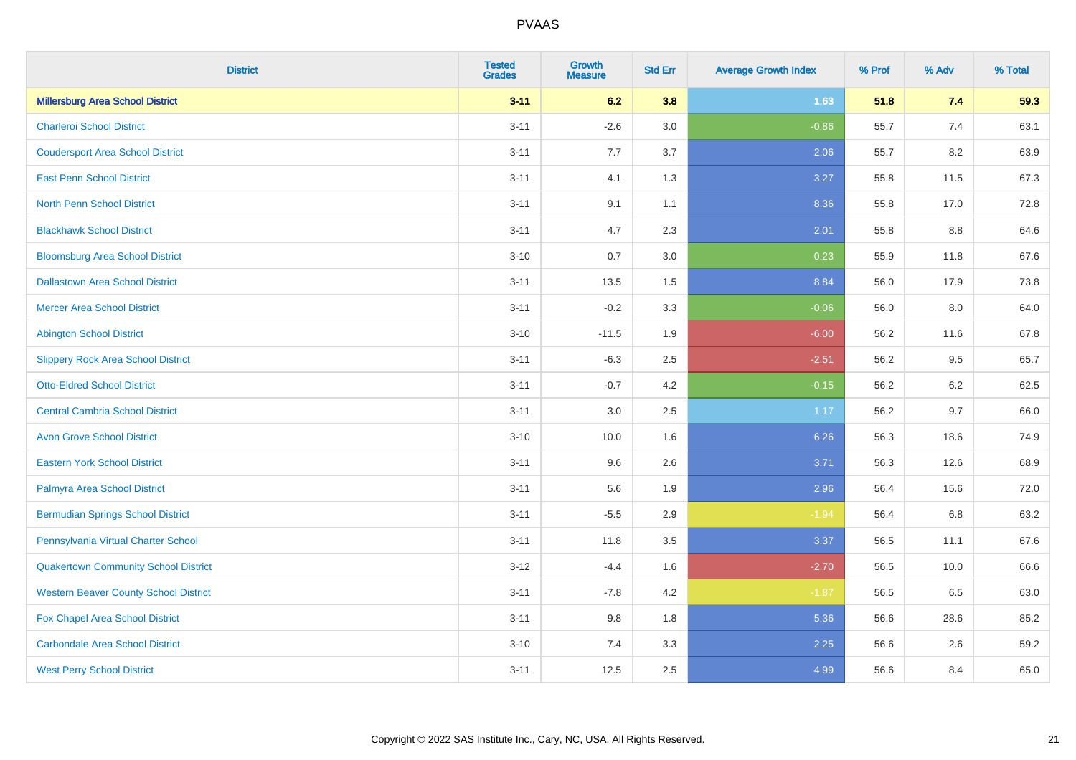| <b>District</b>                              | <b>Tested</b><br><b>Grades</b> | <b>Growth</b><br><b>Measure</b> | <b>Std Err</b> | <b>Average Growth Index</b> | % Prof | % Adv | % Total |
|----------------------------------------------|--------------------------------|---------------------------------|----------------|-----------------------------|--------|-------|---------|
| <b>Millersburg Area School District</b>      | $3 - 11$                       | 6.2                             | 3.8            | 1.63                        | 51.8   | 7.4   | 59.3    |
| <b>Charleroi School District</b>             | $3 - 11$                       | $-2.6$                          | 3.0            | $-0.86$                     | 55.7   | 7.4   | 63.1    |
| <b>Coudersport Area School District</b>      | $3 - 11$                       | 7.7                             | 3.7            | 2.06                        | 55.7   | 8.2   | 63.9    |
| <b>East Penn School District</b>             | $3 - 11$                       | 4.1                             | 1.3            | 3.27                        | 55.8   | 11.5  | 67.3    |
| <b>North Penn School District</b>            | $3 - 11$                       | 9.1                             | 1.1            | 8.36                        | 55.8   | 17.0  | 72.8    |
| <b>Blackhawk School District</b>             | $3 - 11$                       | 4.7                             | 2.3            | 2.01                        | 55.8   | 8.8   | 64.6    |
| <b>Bloomsburg Area School District</b>       | $3 - 10$                       | 0.7                             | 3.0            | 0.23                        | 55.9   | 11.8  | 67.6    |
| <b>Dallastown Area School District</b>       | $3 - 11$                       | 13.5                            | 1.5            | 8.84                        | 56.0   | 17.9  | 73.8    |
| <b>Mercer Area School District</b>           | $3 - 11$                       | $-0.2$                          | 3.3            | $-0.06$                     | 56.0   | 8.0   | 64.0    |
| <b>Abington School District</b>              | $3 - 10$                       | $-11.5$                         | 1.9            | $-6.00$                     | 56.2   | 11.6  | 67.8    |
| <b>Slippery Rock Area School District</b>    | $3 - 11$                       | $-6.3$                          | 2.5            | $-2.51$                     | 56.2   | 9.5   | 65.7    |
| <b>Otto-Eldred School District</b>           | $3 - 11$                       | $-0.7$                          | 4.2            | $-0.15$                     | 56.2   | 6.2   | 62.5    |
| <b>Central Cambria School District</b>       | $3 - 11$                       | $3.0\,$                         | 2.5            | 1.17                        | 56.2   | 9.7   | 66.0    |
| <b>Avon Grove School District</b>            | $3 - 10$                       | 10.0                            | 1.6            | 6.26                        | 56.3   | 18.6  | 74.9    |
| <b>Eastern York School District</b>          | $3 - 11$                       | 9.6                             | 2.6            | 3.71                        | 56.3   | 12.6  | 68.9    |
| Palmyra Area School District                 | $3 - 11$                       | 5.6                             | 1.9            | 2.96                        | 56.4   | 15.6  | 72.0    |
| <b>Bermudian Springs School District</b>     | $3 - 11$                       | $-5.5$                          | 2.9            | $-1.94$                     | 56.4   | 6.8   | 63.2    |
| Pennsylvania Virtual Charter School          | $3 - 11$                       | 11.8                            | 3.5            | 3.37                        | 56.5   | 11.1  | 67.6    |
| <b>Quakertown Community School District</b>  | $3 - 12$                       | $-4.4$                          | 1.6            | $-2.70$                     | 56.5   | 10.0  | 66.6    |
| <b>Western Beaver County School District</b> | $3 - 11$                       | $-7.8$                          | 4.2            | $-1.87$                     | 56.5   | 6.5   | 63.0    |
| Fox Chapel Area School District              | $3 - 11$                       | 9.8                             | 1.8            | 5.36                        | 56.6   | 28.6  | 85.2    |
| <b>Carbondale Area School District</b>       | $3 - 10$                       | 7.4                             | 3.3            | 2.25                        | 56.6   | 2.6   | 59.2    |
| <b>West Perry School District</b>            | $3 - 11$                       | 12.5                            | 2.5            | 4.99                        | 56.6   | 8.4   | 65.0    |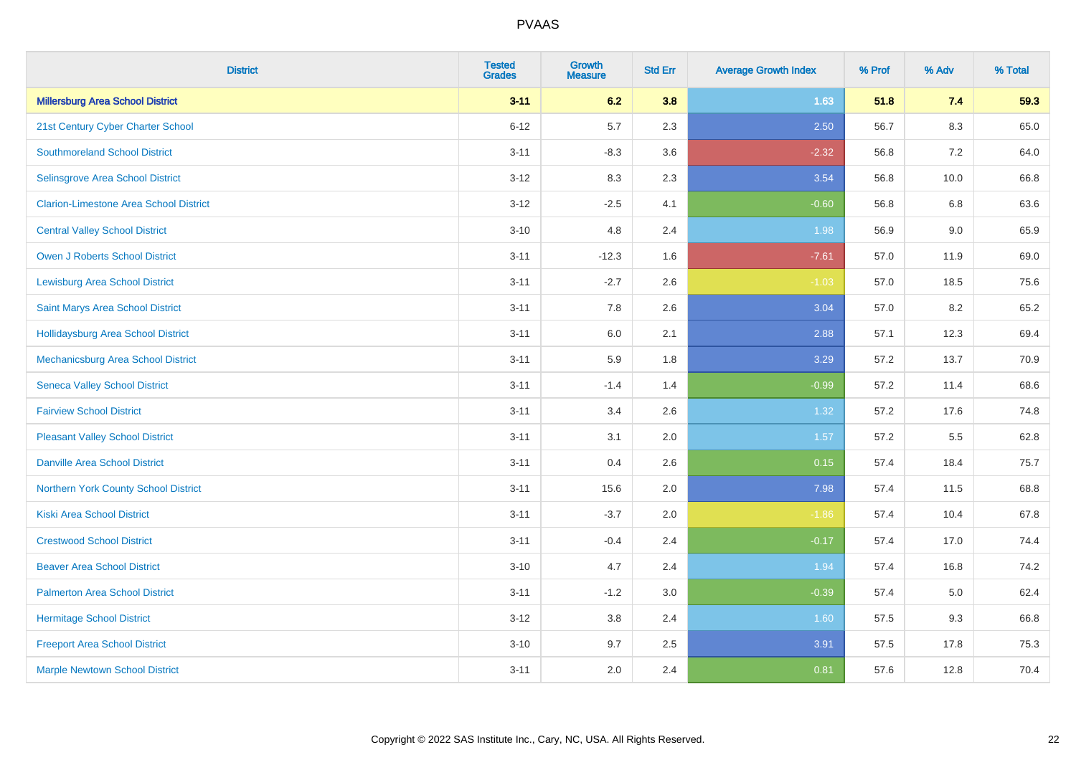| <b>District</b>                               | <b>Tested</b><br><b>Grades</b> | <b>Growth</b><br><b>Measure</b> | <b>Std Err</b> | <b>Average Growth Index</b> | % Prof | % Adv   | % Total |
|-----------------------------------------------|--------------------------------|---------------------------------|----------------|-----------------------------|--------|---------|---------|
| <b>Millersburg Area School District</b>       | $3 - 11$                       | 6.2                             | 3.8            | 1.63                        | 51.8   | 7.4     | 59.3    |
| 21st Century Cyber Charter School             | $6 - 12$                       | 5.7                             | 2.3            | 2.50                        | 56.7   | $8.3\,$ | 65.0    |
| <b>Southmoreland School District</b>          | $3 - 11$                       | $-8.3$                          | 3.6            | $-2.32$                     | 56.8   | 7.2     | 64.0    |
| Selinsgrove Area School District              | $3 - 12$                       | 8.3                             | 2.3            | 3.54                        | 56.8   | 10.0    | 66.8    |
| <b>Clarion-Limestone Area School District</b> | $3 - 12$                       | $-2.5$                          | 4.1            | $-0.60$                     | 56.8   | 6.8     | 63.6    |
| <b>Central Valley School District</b>         | $3 - 10$                       | 4.8                             | 2.4            | 1.98                        | 56.9   | 9.0     | 65.9    |
| Owen J Roberts School District                | $3 - 11$                       | $-12.3$                         | 1.6            | $-7.61$                     | 57.0   | 11.9    | 69.0    |
| <b>Lewisburg Area School District</b>         | $3 - 11$                       | $-2.7$                          | 2.6            | $-1.03$                     | 57.0   | 18.5    | 75.6    |
| Saint Marys Area School District              | $3 - 11$                       | 7.8                             | 2.6            | 3.04                        | 57.0   | 8.2     | 65.2    |
| <b>Hollidaysburg Area School District</b>     | $3 - 11$                       | 6.0                             | 2.1            | 2.88                        | 57.1   | 12.3    | 69.4    |
| Mechanicsburg Area School District            | $3 - 11$                       | 5.9                             | 1.8            | 3.29                        | 57.2   | 13.7    | 70.9    |
| <b>Seneca Valley School District</b>          | $3 - 11$                       | $-1.4$                          | 1.4            | $-0.99$                     | 57.2   | 11.4    | 68.6    |
| <b>Fairview School District</b>               | $3 - 11$                       | 3.4                             | 2.6            | 1.32                        | 57.2   | 17.6    | 74.8    |
| <b>Pleasant Valley School District</b>        | $3 - 11$                       | 3.1                             | 2.0            | 1.57                        | 57.2   | 5.5     | 62.8    |
| <b>Danville Area School District</b>          | $3 - 11$                       | 0.4                             | 2.6            | 0.15                        | 57.4   | 18.4    | 75.7    |
| <b>Northern York County School District</b>   | $3 - 11$                       | 15.6                            | 2.0            | 7.98                        | 57.4   | 11.5    | 68.8    |
| <b>Kiski Area School District</b>             | $3 - 11$                       | $-3.7$                          | 2.0            | $-1.86$                     | 57.4   | 10.4    | 67.8    |
| <b>Crestwood School District</b>              | $3 - 11$                       | $-0.4$                          | 2.4            | $-0.17$                     | 57.4   | 17.0    | 74.4    |
| <b>Beaver Area School District</b>            | $3 - 10$                       | 4.7                             | 2.4            | 1.94                        | 57.4   | 16.8    | 74.2    |
| <b>Palmerton Area School District</b>         | $3 - 11$                       | $-1.2$                          | 3.0            | $-0.39$                     | 57.4   | 5.0     | 62.4    |
| <b>Hermitage School District</b>              | $3 - 12$                       | 3.8                             | 2.4            | 1.60                        | 57.5   | 9.3     | 66.8    |
| <b>Freeport Area School District</b>          | $3 - 10$                       | 9.7                             | 2.5            | 3.91                        | 57.5   | 17.8    | 75.3    |
| <b>Marple Newtown School District</b>         | $3 - 11$                       | 2.0                             | 2.4            | 0.81                        | 57.6   | 12.8    | 70.4    |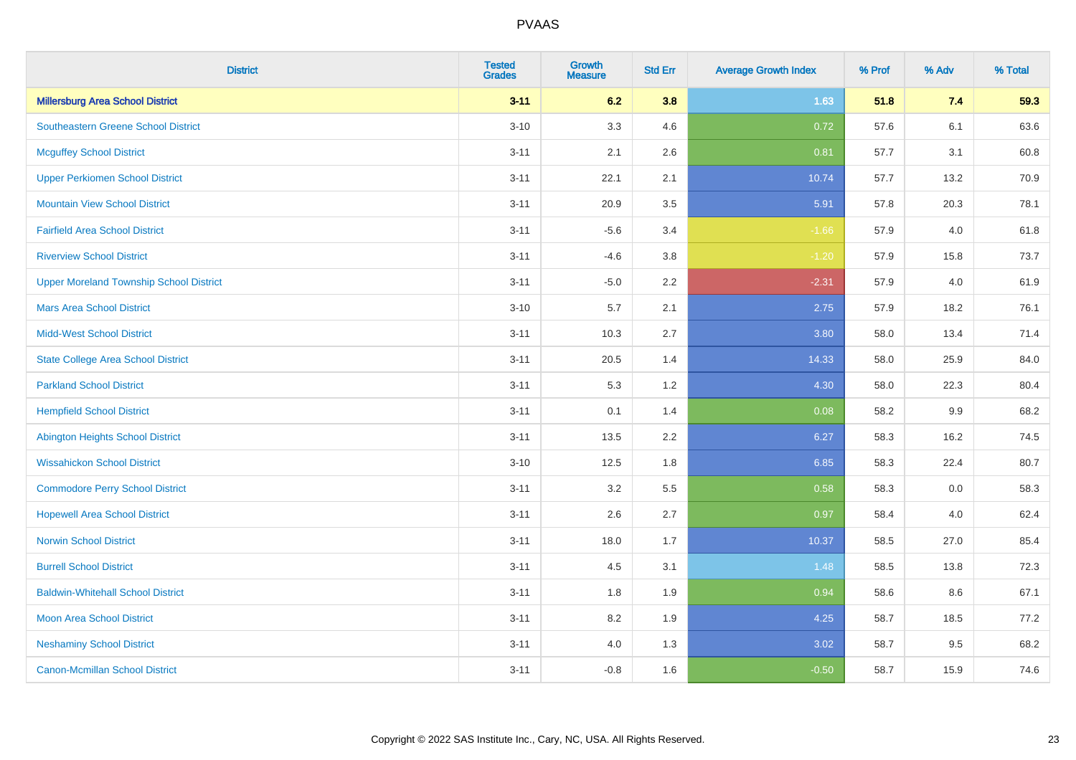| <b>District</b>                                | <b>Tested</b><br><b>Grades</b> | <b>Growth</b><br><b>Measure</b> | <b>Std Err</b> | <b>Average Growth Index</b> | % Prof | % Adv   | % Total |
|------------------------------------------------|--------------------------------|---------------------------------|----------------|-----------------------------|--------|---------|---------|
| <b>Millersburg Area School District</b>        | $3 - 11$                       | 6.2                             | 3.8            | 1.63                        | 51.8   | 7.4     | 59.3    |
| <b>Southeastern Greene School District</b>     | $3 - 10$                       | 3.3                             | 4.6            | 0.72                        | 57.6   | 6.1     | 63.6    |
| <b>Mcguffey School District</b>                | $3 - 11$                       | 2.1                             | 2.6            | 0.81                        | 57.7   | 3.1     | 60.8    |
| <b>Upper Perkiomen School District</b>         | $3 - 11$                       | 22.1                            | 2.1            | 10.74                       | 57.7   | 13.2    | 70.9    |
| <b>Mountain View School District</b>           | $3 - 11$                       | 20.9                            | 3.5            | 5.91                        | 57.8   | 20.3    | 78.1    |
| <b>Fairfield Area School District</b>          | $3 - 11$                       | $-5.6$                          | 3.4            | $-1.66$                     | 57.9   | 4.0     | 61.8    |
| <b>Riverview School District</b>               | $3 - 11$                       | $-4.6$                          | $3.8\,$        | $-1.20$                     | 57.9   | 15.8    | 73.7    |
| <b>Upper Moreland Township School District</b> | $3 - 11$                       | $-5.0$                          | 2.2            | $-2.31$                     | 57.9   | 4.0     | 61.9    |
| <b>Mars Area School District</b>               | $3 - 10$                       | 5.7                             | 2.1            | 2.75                        | 57.9   | 18.2    | 76.1    |
| <b>Midd-West School District</b>               | $3 - 11$                       | 10.3                            | 2.7            | 3.80                        | 58.0   | 13.4    | 71.4    |
| <b>State College Area School District</b>      | $3 - 11$                       | 20.5                            | 1.4            | 14.33                       | 58.0   | 25.9    | 84.0    |
| <b>Parkland School District</b>                | $3 - 11$                       | 5.3                             | 1.2            | 4.30                        | 58.0   | 22.3    | 80.4    |
| <b>Hempfield School District</b>               | $3 - 11$                       | 0.1                             | 1.4            | 0.08                        | 58.2   | 9.9     | 68.2    |
| <b>Abington Heights School District</b>        | $3 - 11$                       | 13.5                            | 2.2            | 6.27                        | 58.3   | 16.2    | 74.5    |
| <b>Wissahickon School District</b>             | $3 - 10$                       | 12.5                            | 1.8            | 6.85                        | 58.3   | 22.4    | 80.7    |
| <b>Commodore Perry School District</b>         | $3 - 11$                       | 3.2                             | 5.5            | 0.58                        | 58.3   | $0.0\,$ | 58.3    |
| <b>Hopewell Area School District</b>           | $3 - 11$                       | 2.6                             | 2.7            | 0.97                        | 58.4   | 4.0     | 62.4    |
| <b>Norwin School District</b>                  | $3 - 11$                       | 18.0                            | 1.7            | 10.37                       | 58.5   | 27.0    | 85.4    |
| <b>Burrell School District</b>                 | $3 - 11$                       | 4.5                             | 3.1            | 1.48                        | 58.5   | 13.8    | 72.3    |
| <b>Baldwin-Whitehall School District</b>       | $3 - 11$                       | 1.8                             | 1.9            | 0.94                        | 58.6   | 8.6     | 67.1    |
| Moon Area School District                      | $3 - 11$                       | 8.2                             | 1.9            | 4.25                        | 58.7   | 18.5    | 77.2    |
| <b>Neshaminy School District</b>               | $3 - 11$                       | 4.0                             | 1.3            | 3.02                        | 58.7   | 9.5     | 68.2    |
| <b>Canon-Mcmillan School District</b>          | $3 - 11$                       | $-0.8$                          | 1.6            | $-0.50$                     | 58.7   | 15.9    | 74.6    |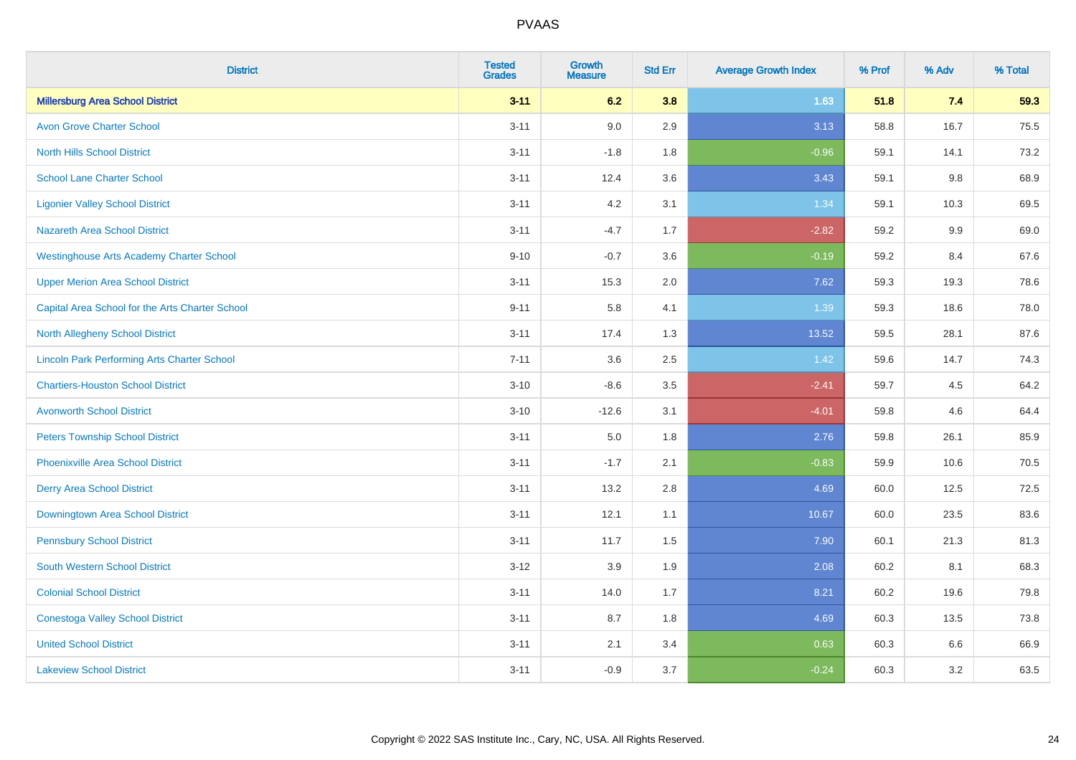| <b>District</b>                                    | <b>Tested</b><br><b>Grades</b> | <b>Growth</b><br><b>Measure</b> | <b>Std Err</b> | <b>Average Growth Index</b> | % Prof | % Adv | % Total |
|----------------------------------------------------|--------------------------------|---------------------------------|----------------|-----------------------------|--------|-------|---------|
| <b>Millersburg Area School District</b>            | $3 - 11$                       | 6.2                             | 3.8            | 1.63                        | 51.8   | 7.4   | 59.3    |
| <b>Avon Grove Charter School</b>                   | $3 - 11$                       | 9.0                             | 2.9            | 3.13                        | 58.8   | 16.7  | 75.5    |
| <b>North Hills School District</b>                 | $3 - 11$                       | $-1.8$                          | 1.8            | $-0.96$                     | 59.1   | 14.1  | 73.2    |
| <b>School Lane Charter School</b>                  | $3 - 11$                       | 12.4                            | 3.6            | 3.43                        | 59.1   | 9.8   | 68.9    |
| <b>Ligonier Valley School District</b>             | $3 - 11$                       | 4.2                             | 3.1            | 1.34                        | 59.1   | 10.3  | 69.5    |
| Nazareth Area School District                      | $3 - 11$                       | $-4.7$                          | 1.7            | $-2.82$                     | 59.2   | 9.9   | 69.0    |
| <b>Westinghouse Arts Academy Charter School</b>    | $9 - 10$                       | $-0.7$                          | 3.6            | $-0.19$                     | 59.2   | 8.4   | 67.6    |
| <b>Upper Merion Area School District</b>           | $3 - 11$                       | 15.3                            | 2.0            | 7.62                        | 59.3   | 19.3  | 78.6    |
| Capital Area School for the Arts Charter School    | $9 - 11$                       | 5.8                             | 4.1            | 1.39                        | 59.3   | 18.6  | 78.0    |
| North Allegheny School District                    | $3 - 11$                       | 17.4                            | 1.3            | 13.52                       | 59.5   | 28.1  | 87.6    |
| <b>Lincoln Park Performing Arts Charter School</b> | $7 - 11$                       | 3.6                             | 2.5            | 1.42                        | 59.6   | 14.7  | 74.3    |
| <b>Chartiers-Houston School District</b>           | $3 - 10$                       | $-8.6$                          | 3.5            | $-2.41$                     | 59.7   | 4.5   | 64.2    |
| <b>Avonworth School District</b>                   | $3 - 10$                       | $-12.6$                         | 3.1            | $-4.01$                     | 59.8   | 4.6   | 64.4    |
| <b>Peters Township School District</b>             | $3 - 11$                       | 5.0                             | 1.8            | 2.76                        | 59.8   | 26.1  | 85.9    |
| <b>Phoenixville Area School District</b>           | $3 - 11$                       | $-1.7$                          | 2.1            | $-0.83$                     | 59.9   | 10.6  | 70.5    |
| <b>Derry Area School District</b>                  | $3 - 11$                       | 13.2                            | 2.8            | 4.69                        | 60.0   | 12.5  | 72.5    |
| <b>Downingtown Area School District</b>            | $3 - 11$                       | 12.1                            | 1.1            | 10.67                       | 60.0   | 23.5  | 83.6    |
| <b>Pennsbury School District</b>                   | $3 - 11$                       | 11.7                            | 1.5            | 7.90                        | 60.1   | 21.3  | 81.3    |
| <b>South Western School District</b>               | $3 - 12$                       | 3.9                             | 1.9            | 2.08                        | 60.2   | 8.1   | 68.3    |
| <b>Colonial School District</b>                    | $3 - 11$                       | 14.0                            | 1.7            | 8.21                        | 60.2   | 19.6  | 79.8    |
| <b>Conestoga Valley School District</b>            | $3 - 11$                       | 8.7                             | 1.8            | 4.69                        | 60.3   | 13.5  | 73.8    |
| <b>United School District</b>                      | $3 - 11$                       | 2.1                             | 3.4            | 0.63                        | 60.3   | 6.6   | 66.9    |
| <b>Lakeview School District</b>                    | $3 - 11$                       | $-0.9$                          | 3.7            | $-0.24$                     | 60.3   | 3.2   | 63.5    |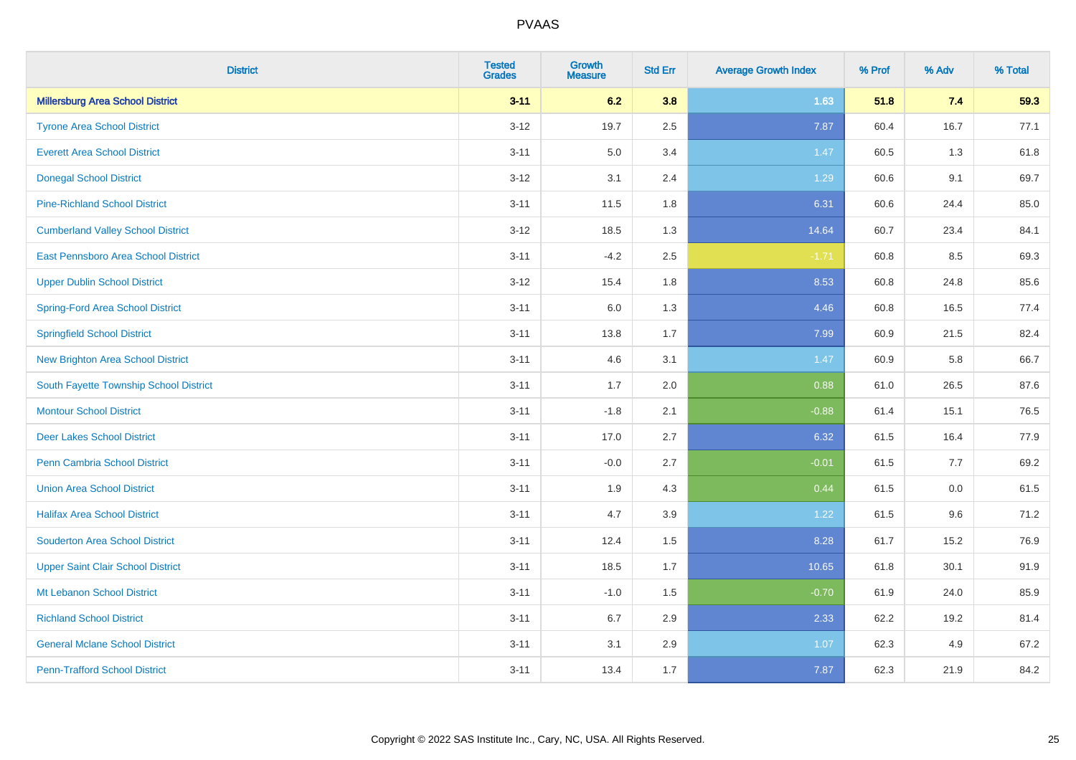| <b>District</b>                          | <b>Tested</b><br><b>Grades</b> | <b>Growth</b><br><b>Measure</b> | <b>Std Err</b> | <b>Average Growth Index</b> | % Prof | % Adv   | % Total |
|------------------------------------------|--------------------------------|---------------------------------|----------------|-----------------------------|--------|---------|---------|
| <b>Millersburg Area School District</b>  | $3 - 11$                       | 6.2                             | 3.8            | 1.63                        | 51.8   | 7.4     | 59.3    |
| <b>Tyrone Area School District</b>       | $3 - 12$                       | 19.7                            | 2.5            | 7.87                        | 60.4   | 16.7    | 77.1    |
| <b>Everett Area School District</b>      | $3 - 11$                       | 5.0                             | 3.4            | 1.47                        | 60.5   | 1.3     | 61.8    |
| <b>Donegal School District</b>           | $3-12$                         | 3.1                             | 2.4            | 1.29                        | 60.6   | 9.1     | 69.7    |
| <b>Pine-Richland School District</b>     | $3 - 11$                       | 11.5                            | 1.8            | 6.31                        | 60.6   | 24.4    | 85.0    |
| <b>Cumberland Valley School District</b> | $3 - 12$                       | 18.5                            | 1.3            | 14.64                       | 60.7   | 23.4    | 84.1    |
| East Pennsboro Area School District      | $3 - 11$                       | $-4.2$                          | 2.5            | $-1.71$                     | 60.8   | 8.5     | 69.3    |
| <b>Upper Dublin School District</b>      | $3 - 12$                       | 15.4                            | 1.8            | 8.53                        | 60.8   | 24.8    | 85.6    |
| Spring-Ford Area School District         | $3 - 11$                       | 6.0                             | 1.3            | 4.46                        | 60.8   | 16.5    | 77.4    |
| <b>Springfield School District</b>       | $3 - 11$                       | 13.8                            | 1.7            | 7.99                        | 60.9   | 21.5    | 82.4    |
| <b>New Brighton Area School District</b> | $3 - 11$                       | 4.6                             | 3.1            | 1.47                        | 60.9   | 5.8     | 66.7    |
| South Fayette Township School District   | $3 - 11$                       | 1.7                             | 2.0            | 0.88                        | 61.0   | 26.5    | 87.6    |
| <b>Montour School District</b>           | $3 - 11$                       | $-1.8$                          | 2.1            | $-0.88$                     | 61.4   | 15.1    | 76.5    |
| <b>Deer Lakes School District</b>        | $3 - 11$                       | 17.0                            | 2.7            | 6.32                        | 61.5   | 16.4    | 77.9    |
| Penn Cambria School District             | $3 - 11$                       | $-0.0$                          | 2.7            | $-0.01$                     | 61.5   | 7.7     | 69.2    |
| <b>Union Area School District</b>        | $3 - 11$                       | 1.9                             | 4.3            | 0.44                        | 61.5   | $0.0\,$ | 61.5    |
| <b>Halifax Area School District</b>      | $3 - 11$                       | 4.7                             | 3.9            | 1.22                        | 61.5   | 9.6     | 71.2    |
| <b>Souderton Area School District</b>    | $3 - 11$                       | 12.4                            | 1.5            | 8.28                        | 61.7   | 15.2    | 76.9    |
| <b>Upper Saint Clair School District</b> | $3 - 11$                       | 18.5                            | 1.7            | 10.65                       | 61.8   | 30.1    | 91.9    |
| Mt Lebanon School District               | $3 - 11$                       | $-1.0$                          | 1.5            | $-0.70$                     | 61.9   | 24.0    | 85.9    |
| <b>Richland School District</b>          | $3 - 11$                       | 6.7                             | 2.9            | 2.33                        | 62.2   | 19.2    | 81.4    |
| <b>General Mclane School District</b>    | $3 - 11$                       | 3.1                             | 2.9            | 1.07                        | 62.3   | 4.9     | 67.2    |
| <b>Penn-Trafford School District</b>     | $3 - 11$                       | 13.4                            | 1.7            | 7.87                        | 62.3   | 21.9    | 84.2    |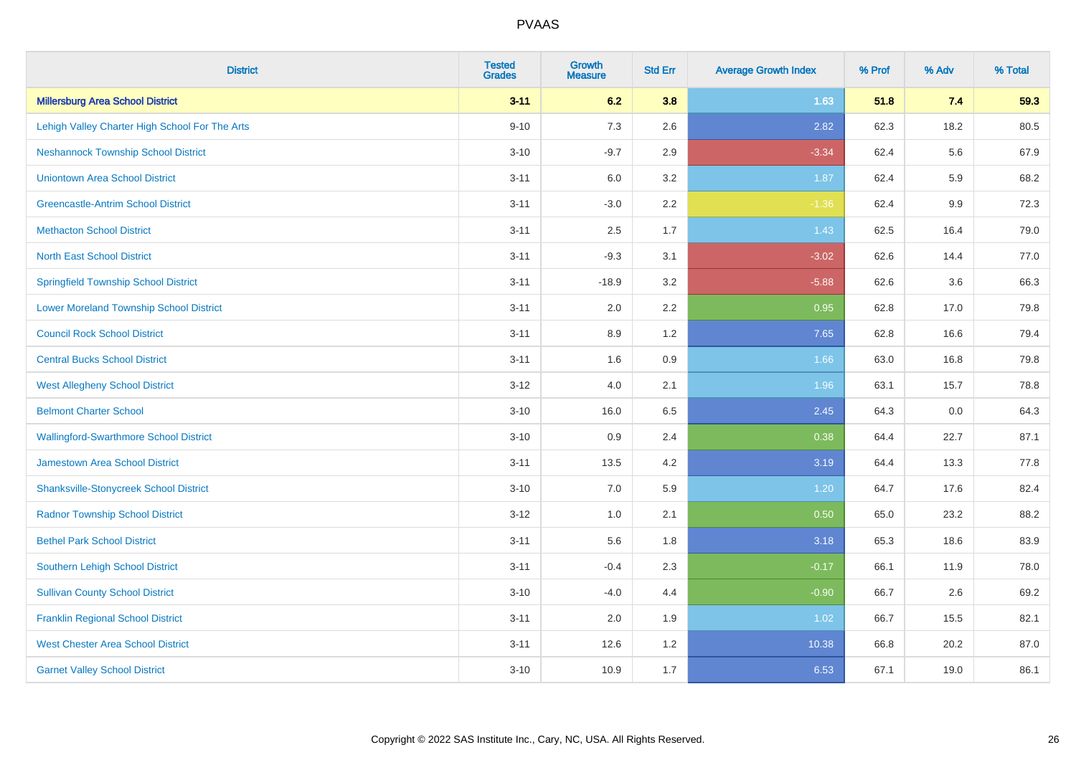| <b>District</b>                                | <b>Tested</b><br><b>Grades</b> | <b>Growth</b><br><b>Measure</b> | <b>Std Err</b> | <b>Average Growth Index</b> | % Prof | % Adv | % Total |
|------------------------------------------------|--------------------------------|---------------------------------|----------------|-----------------------------|--------|-------|---------|
| <b>Millersburg Area School District</b>        | $3 - 11$                       | 6.2                             | 3.8            | 1.63                        | 51.8   | 7.4   | 59.3    |
| Lehigh Valley Charter High School For The Arts | $9 - 10$                       | 7.3                             | 2.6            | 2.82                        | 62.3   | 18.2  | 80.5    |
| <b>Neshannock Township School District</b>     | $3 - 10$                       | $-9.7$                          | 2.9            | $-3.34$                     | 62.4   | 5.6   | 67.9    |
| <b>Uniontown Area School District</b>          | $3 - 11$                       | 6.0                             | 3.2            | 1.87                        | 62.4   | 5.9   | 68.2    |
| <b>Greencastle-Antrim School District</b>      | $3 - 11$                       | $-3.0$                          | 2.2            | $-1.36$                     | 62.4   | 9.9   | 72.3    |
| <b>Methacton School District</b>               | $3 - 11$                       | 2.5                             | 1.7            | 1.43                        | 62.5   | 16.4  | 79.0    |
| <b>North East School District</b>              | $3 - 11$                       | $-9.3$                          | 3.1            | $-3.02$                     | 62.6   | 14.4  | 77.0    |
| <b>Springfield Township School District</b>    | $3 - 11$                       | $-18.9$                         | 3.2            | $-5.88$                     | 62.6   | 3.6   | 66.3    |
| <b>Lower Moreland Township School District</b> | $3 - 11$                       | 2.0                             | 2.2            | 0.95                        | 62.8   | 17.0  | 79.8    |
| <b>Council Rock School District</b>            | $3 - 11$                       | 8.9                             | 1.2            | 7.65                        | 62.8   | 16.6  | 79.4    |
| <b>Central Bucks School District</b>           | $3 - 11$                       | 1.6                             | 0.9            | 1.66                        | 63.0   | 16.8  | 79.8    |
| <b>West Allegheny School District</b>          | $3 - 12$                       | 4.0                             | 2.1            | 1.96                        | 63.1   | 15.7  | 78.8    |
| <b>Belmont Charter School</b>                  | $3 - 10$                       | 16.0                            | 6.5            | 2.45                        | 64.3   | 0.0   | 64.3    |
| <b>Wallingford-Swarthmore School District</b>  | $3 - 10$                       | 0.9                             | 2.4            | 0.38                        | 64.4   | 22.7  | 87.1    |
| <b>Jamestown Area School District</b>          | $3 - 11$                       | 13.5                            | 4.2            | 3.19                        | 64.4   | 13.3  | 77.8    |
| <b>Shanksville-Stonycreek School District</b>  | $3 - 10$                       | 7.0                             | 5.9            | 1.20                        | 64.7   | 17.6  | 82.4    |
| <b>Radnor Township School District</b>         | $3 - 12$                       | 1.0                             | 2.1            | 0.50                        | 65.0   | 23.2  | 88.2    |
| <b>Bethel Park School District</b>             | $3 - 11$                       | 5.6                             | 1.8            | 3.18                        | 65.3   | 18.6  | 83.9    |
| Southern Lehigh School District                | $3 - 11$                       | $-0.4$                          | 2.3            | $-0.17$                     | 66.1   | 11.9  | 78.0    |
| <b>Sullivan County School District</b>         | $3 - 10$                       | $-4.0$                          | 4.4            | $-0.90$                     | 66.7   | 2.6   | 69.2    |
| <b>Franklin Regional School District</b>       | $3 - 11$                       | 2.0                             | 1.9            | 1.02                        | 66.7   | 15.5  | 82.1    |
| <b>West Chester Area School District</b>       | $3 - 11$                       | 12.6                            | 1.2            | 10.38                       | 66.8   | 20.2  | 87.0    |
| <b>Garnet Valley School District</b>           | $3 - 10$                       | 10.9                            | 1.7            | 6.53                        | 67.1   | 19.0  | 86.1    |